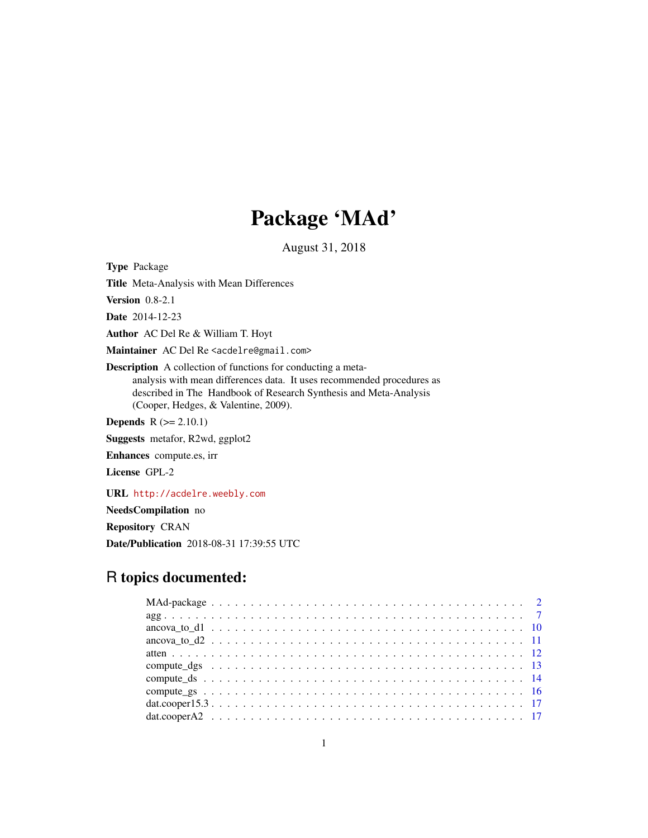# Package 'MAd'

August 31, 2018

<span id="page-0-0"></span>Type Package Title Meta-Analysis with Mean Differences Version 0.8-2.1 Date 2014-12-23 Author AC Del Re & William T. Hoyt Maintainer AC Del Re <acdelre@gmail.com> Description A collection of functions for conducting a metaanalysis with mean differences data. It uses recommended procedures as described in The Handbook of Research Synthesis and Meta-Analysis (Cooper, Hedges, & Valentine, 2009). **Depends**  $R$  ( $>= 2.10.1$ ) Suggests metafor, R2wd, ggplot2 Enhances compute.es, irr License GPL-2

URL <http://acdelre.weebly.com>

NeedsCompilation no

Repository CRAN

Date/Publication 2018-08-31 17:39:55 UTC

# R topics documented: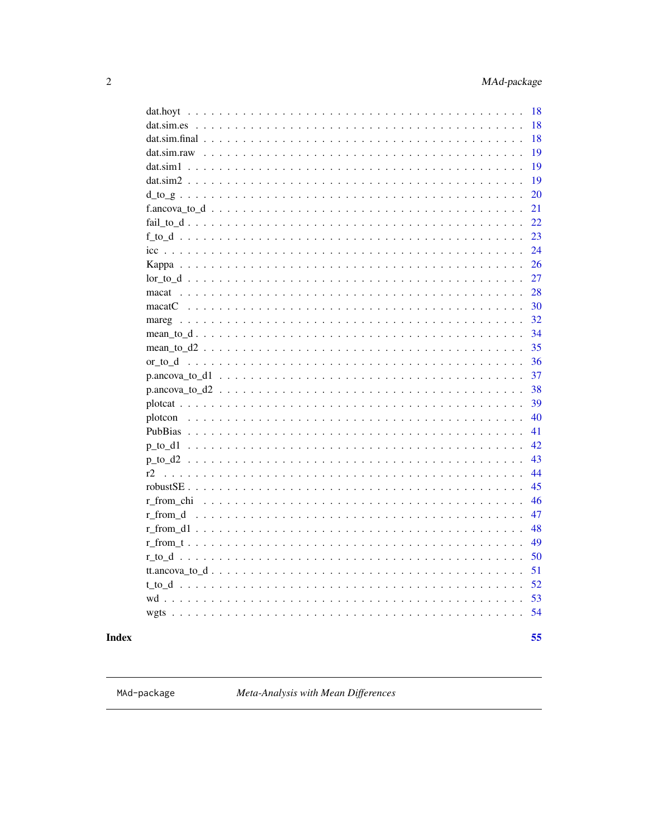<span id="page-1-0"></span>

| dat.hoyt | 18 |
|----------|----|
|          | 18 |
|          | 18 |
|          | 19 |
|          | 19 |
|          | 19 |
|          | 20 |
|          | 21 |
|          | 22 |
|          | 23 |
|          | 24 |
|          | 26 |
|          | 27 |
|          | 28 |
|          | 30 |
|          | 32 |
|          | 34 |
|          | 35 |
|          | 36 |
|          | 37 |
|          | 38 |
|          | 39 |
|          | 40 |
|          | 41 |
|          | 42 |
|          | 43 |
| r2       | 44 |
|          | 45 |
|          | 46 |
|          | 47 |
|          | 48 |
|          | 49 |
|          | 50 |
|          | 51 |
|          | 52 |
|          | 53 |
|          | 54 |
|          |    |
|          | 55 |

# **Index**

MAd-package

Meta-Analysis with Mean Differences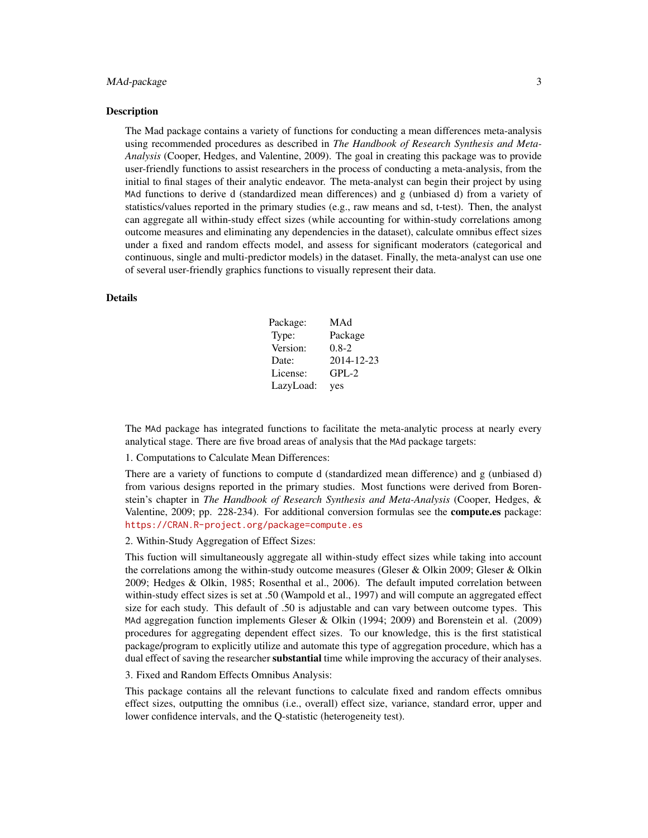#### MAd-package 3

#### **Description**

The Mad package contains a variety of functions for conducting a mean differences meta-analysis using recommended procedures as described in *The Handbook of Research Synthesis and Meta-Analysis* (Cooper, Hedges, and Valentine, 2009). The goal in creating this package was to provide user-friendly functions to assist researchers in the process of conducting a meta-analysis, from the initial to final stages of their analytic endeavor. The meta-analyst can begin their project by using MAd functions to derive d (standardized mean differences) and g (unbiased d) from a variety of statistics/values reported in the primary studies (e.g., raw means and sd, t-test). Then, the analyst can aggregate all within-study effect sizes (while accounting for within-study correlations among outcome measures and eliminating any dependencies in the dataset), calculate omnibus effect sizes under a fixed and random effects model, and assess for significant moderators (categorical and continuous, single and multi-predictor models) in the dataset. Finally, the meta-analyst can use one of several user-friendly graphics functions to visually represent their data.

#### Details

| Package:  | MAd        |
|-----------|------------|
| Type:     | Package    |
| Version:  | $0.8 - 2$  |
| Date:     | 2014-12-23 |
| License:  | $GPL-2$    |
| LazyLoad: | yes        |

The MAd package has integrated functions to facilitate the meta-analytic process at nearly every analytical stage. There are five broad areas of analysis that the MAd package targets:

1. Computations to Calculate Mean Differences:

There are a variety of functions to compute d (standardized mean difference) and g (unbiased d) from various designs reported in the primary studies. Most functions were derived from Borenstein's chapter in *The Handbook of Research Synthesis and Meta-Analysis* (Cooper, Hedges, & Valentine, 2009; pp. 228-234). For additional conversion formulas see the **compute.es** package: <https://CRAN.R-project.org/package=compute.es>

2. Within-Study Aggregation of Effect Sizes:

This fuction will simultaneously aggregate all within-study effect sizes while taking into account the correlations among the within-study outcome measures (Gleser & Olkin 2009; Gleser & Olkin 2009; Hedges & Olkin, 1985; Rosenthal et al., 2006). The default imputed correlation between within-study effect sizes is set at .50 (Wampold et al., 1997) and will compute an aggregated effect size for each study. This default of .50 is adjustable and can vary between outcome types. This MAd aggregation function implements Gleser & Olkin (1994; 2009) and Borenstein et al. (2009) procedures for aggregating dependent effect sizes. To our knowledge, this is the first statistical package/program to explicitly utilize and automate this type of aggregation procedure, which has a dual effect of saving the researcher substantial time while improving the accuracy of their analyses.

3. Fixed and Random Effects Omnibus Analysis:

This package contains all the relevant functions to calculate fixed and random effects omnibus effect sizes, outputting the omnibus (i.e., overall) effect size, variance, standard error, upper and lower confidence intervals, and the Q-statistic (heterogeneity test).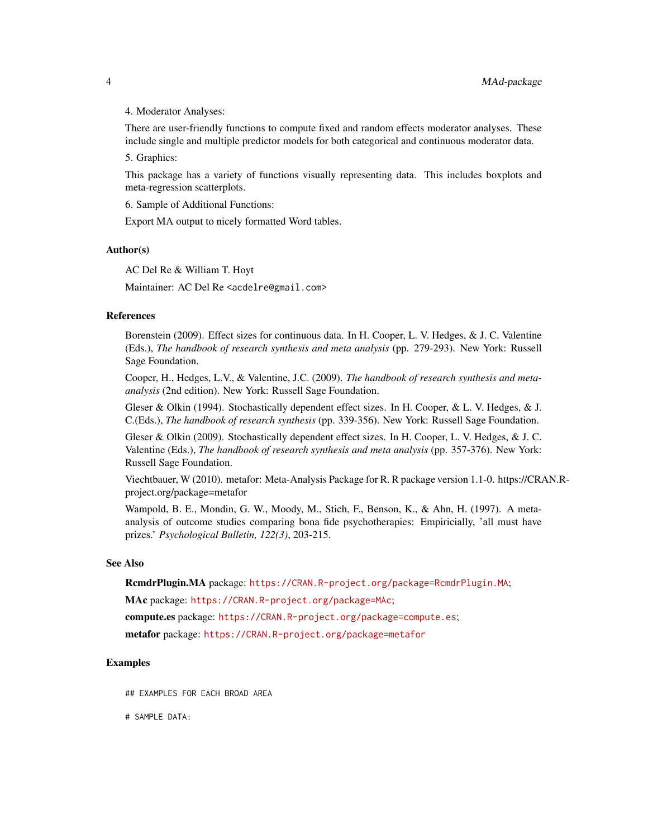#### 4. Moderator Analyses:

There are user-friendly functions to compute fixed and random effects moderator analyses. These include single and multiple predictor models for both categorical and continuous moderator data.

5. Graphics:

This package has a variety of functions visually representing data. This includes boxplots and meta-regression scatterplots.

6. Sample of Additional Functions:

Export MA output to nicely formatted Word tables.

#### Author(s)

AC Del Re & William T. Hoyt

Maintainer: AC Del Re <acdelre@gmail.com>

#### References

Borenstein (2009). Effect sizes for continuous data. In H. Cooper, L. V. Hedges, & J. C. Valentine (Eds.), *The handbook of research synthesis and meta analysis* (pp. 279-293). New York: Russell Sage Foundation.

Cooper, H., Hedges, L.V., & Valentine, J.C. (2009). *The handbook of research synthesis and metaanalysis* (2nd edition). New York: Russell Sage Foundation.

Gleser & Olkin (1994). Stochastically dependent effect sizes. In H. Cooper, & L. V. Hedges, & J. C.(Eds.), *The handbook of research synthesis* (pp. 339-356). New York: Russell Sage Foundation.

Gleser & Olkin (2009). Stochastically dependent effect sizes. In H. Cooper, L. V. Hedges, & J. C. Valentine (Eds.), *The handbook of research synthesis and meta analysis* (pp. 357-376). New York: Russell Sage Foundation.

Viechtbauer, W (2010). metafor: Meta-Analysis Package for R. R package version 1.1-0. https://CRAN.Rproject.org/package=metafor

Wampold, B. E., Mondin, G. W., Moody, M., Stich, F., Benson, K., & Ahn, H. (1997). A metaanalysis of outcome studies comparing bona fide psychotherapies: Empiricially, 'all must have prizes.' *Psychological Bulletin, 122(3)*, 203-215.

#### See Also

RcmdrPlugin.MA package: <https://CRAN.R-project.org/package=RcmdrPlugin.MA>;

MAc package: <https://CRAN.R-project.org/package=MAc>;

compute.es package: <https://CRAN.R-project.org/package=compute.es>;

metafor package: <https://CRAN.R-project.org/package=metafor>

# Examples

## EXAMPLES FOR EACH BROAD AREA

# SAMPLE DATA: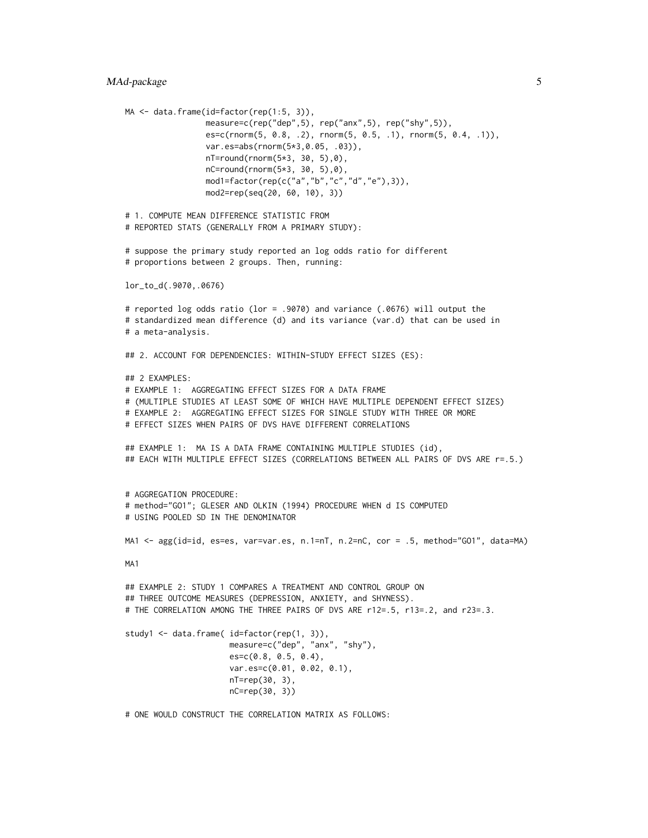```
MA <- data.frame(id=factor(rep(1:5, 3)),
                 measure=c(rep("dep",5), rep("anx",5), rep("shy",5)),
                 es=c(rnorm(5, 0.8, .2), rnorm(5, 0.5, .1), rnorm(5, 0.4, .1)),
                 var.es=abs(rnorm(5*3,0.05, .03)),
                 nT=round(rnorm(5*3, 30, 5),0),
                 nC=round(rnorm(5*3, 30, 5),0),
                 mod1=factor(rep(c("a","b","c","d","e"),3)),
                 mod2=rep(seq(20, 60, 10), 3))
# 1. COMPUTE MEAN DIFFERENCE STATISTIC FROM
# REPORTED STATS (GENERALLY FROM A PRIMARY STUDY):
# suppose the primary study reported an log odds ratio for different
# proportions between 2 groups. Then, running:
lor_to_d(.9070,.0676)
# reported log odds ratio (lor = .9070) and variance (.0676) will output the
# standardized mean difference (d) and its variance (var.d) that can be used in
# a meta-analysis.
## 2. ACCOUNT FOR DEPENDENCIES: WITHIN-STUDY EFFECT SIZES (ES):
## 2 EXAMPLES:
# EXAMPLE 1: AGGREGATING EFFECT SIZES FOR A DATA FRAME
# (MULTIPLE STUDIES AT LEAST SOME OF WHICH HAVE MULTIPLE DEPENDENT EFFECT SIZES)
# EXAMPLE 2: AGGREGATING EFFECT SIZES FOR SINGLE STUDY WITH THREE OR MORE
# EFFECT SIZES WHEN PAIRS OF DVS HAVE DIFFERENT CORRELATIONS
## EXAMPLE 1: MA IS A DATA FRAME CONTAINING MULTIPLE STUDIES (id),
## EACH WITH MULTIPLE EFFECT SIZES (CORRELATIONS BETWEEN ALL PAIRS OF DVS ARE r=.5.)
# AGGREGATION PROCEDURE:
# method="GO1"; GLESER AND OLKIN (1994) PROCEDURE WHEN d IS COMPUTED
# USING POOLED SD IN THE DENOMINATOR
MA1 <- agg(id=id, es=es, var=var.es, n.1=nT, n.2=nC, cor = .5, method="GO1", data=MA)
MA1
## EXAMPLE 2: STUDY 1 COMPARES A TREATMENT AND CONTROL GROUP ON
## THREE OUTCOME MEASURES (DEPRESSION, ANXIETY, and SHYNESS).
# THE CORRELATION AMONG THE THREE PAIRS OF DVS ARE r12=.5, r13=.2, and r23=.3.
study1 <- data.frame( id=factor(rep(1, 3)),
                      measure=c("dep", "anx", "shy"),
                      es=c(0.8, 0.5, 0.4),
                      var.es=c(0.01, 0.02, 0.1),
                      nT=rep(30, 3),
                      nC=rep(30, 3))
```
# ONE WOULD CONSTRUCT THE CORRELATION MATRIX AS FOLLOWS: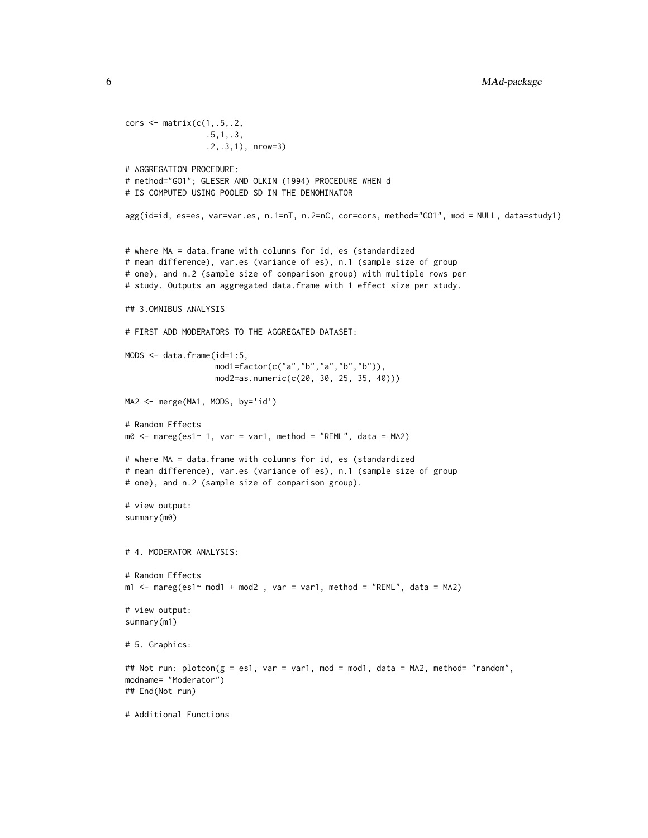```
cors \leq matrix(c(1, .5, .2, ).5,1,.3,
                 .2,.3,1), nrow=3)
# AGGREGATION PROCEDURE:
# method="GO1"; GLESER AND OLKIN (1994) PROCEDURE WHEN d
# IS COMPUTED USING POOLED SD IN THE DENOMINATOR
agg(id=id, es=es, var=var.es, n.1=nT, n.2=nC, cor=cors, method="GO1", mod = NULL, data=study1)
# where MA = data.frame with columns for id, es (standardized
# mean difference), var.es (variance of es), n.1 (sample size of group
# one), and n.2 (sample size of comparison group) with multiple rows per
# study. Outputs an aggregated data.frame with 1 effect size per study.
## 3.OMNIBUS ANALYSIS
# FIRST ADD MODERATORS TO THE AGGREGATED DATASET:
MODS <- data.frame(id=1:5,
                   mod1=factor(c("a","b","a","b","b")),
                   mod2=as.numeric(c(20, 30, 25, 35, 40)))
MA2 <- merge(MA1, MODS, by='id')
# Random Effects
m0 <- mareg(es1~ 1, var = var1, method = "REML", data = MA2)
# where MA = data.frame with columns for id, es (standardized
# mean difference), var.es (variance of es), n.1 (sample size of group
# one), and n.2 (sample size of comparison group).
# view output:
summary(m0)
# 4. MODERATOR ANALYSIS:
# Random Effects
m1 <- mareg(es1~ mod1 + mod2 , var = var1, method = "REML", data = MA2)
# view output:
summary(m1)
# 5. Graphics:
## Not run: plotcon(g = es1, var = var1, mod = mod1, data = MA2, method= "random",
modname= "Moderator")
## End(Not run)
# Additional Functions
```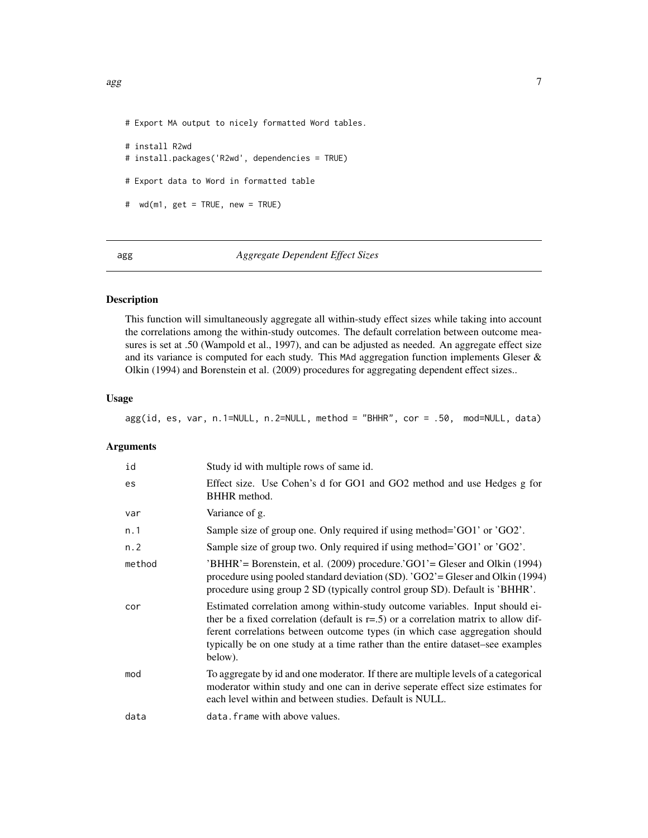<span id="page-6-0"></span># Export MA output to nicely formatted Word tables.

```
# install R2wd
# install.packages('R2wd', dependencies = TRUE)
# Export data to Word in formatted table
# wd(m1, get = TRUE, new = TRUE)
```
agg *Aggregate Dependent Effect Sizes*

# Description

This function will simultaneously aggregate all within-study effect sizes while taking into account the correlations among the within-study outcomes. The default correlation between outcome measures is set at .50 (Wampold et al., 1997), and can be adjusted as needed. An aggregate effect size and its variance is computed for each study. This MAd aggregation function implements Gleser & Olkin (1994) and Borenstein et al. (2009) procedures for aggregating dependent effect sizes..

#### Usage

agg(id, es, var, n.1=NULL, n.2=NULL, method = "BHHR", cor = .50, mod=NULL, data)

#### Arguments

| id     | Study id with multiple rows of same id.                                                                                                                                                                                                                                                                                                              |
|--------|------------------------------------------------------------------------------------------------------------------------------------------------------------------------------------------------------------------------------------------------------------------------------------------------------------------------------------------------------|
| es     | Effect size. Use Cohen's d for GO1 and GO2 method and use Hedges g for<br>BHHR method.                                                                                                                                                                                                                                                               |
| var    | Variance of g.                                                                                                                                                                                                                                                                                                                                       |
| n.1    | Sample size of group one. Only required if using method='GO1' or 'GO2'.                                                                                                                                                                                                                                                                              |
| n.2    | Sample size of group two. Only required if using method='GO1' or 'GO2'.                                                                                                                                                                                                                                                                              |
| method | $BHHR' = Borenstein$ , et al. (2009) procedure. GO1'= Gleser and Olkin (1994)<br>procedure using pooled standard deviation (SD). 'GO2'= Gleser and Olkin (1994)<br>procedure using group 2 SD (typically control group SD). Default is 'BHHR'.                                                                                                       |
| cor    | Estimated correlation among within-study outcome variables. Input should ei-<br>ther be a fixed correlation (default is $r=0.5$ ) or a correlation matrix to allow dif-<br>ferent correlations between outcome types (in which case aggregation should<br>typically be on one study at a time rather than the entire dataset–see examples<br>below). |
| mod    | To aggregate by id and one moderator. If there are multiple levels of a categorical<br>moderator within study and one can in derive seperate effect size estimates for<br>each level within and between studies. Default is NULL.                                                                                                                    |
| data   | data. frame with above values.                                                                                                                                                                                                                                                                                                                       |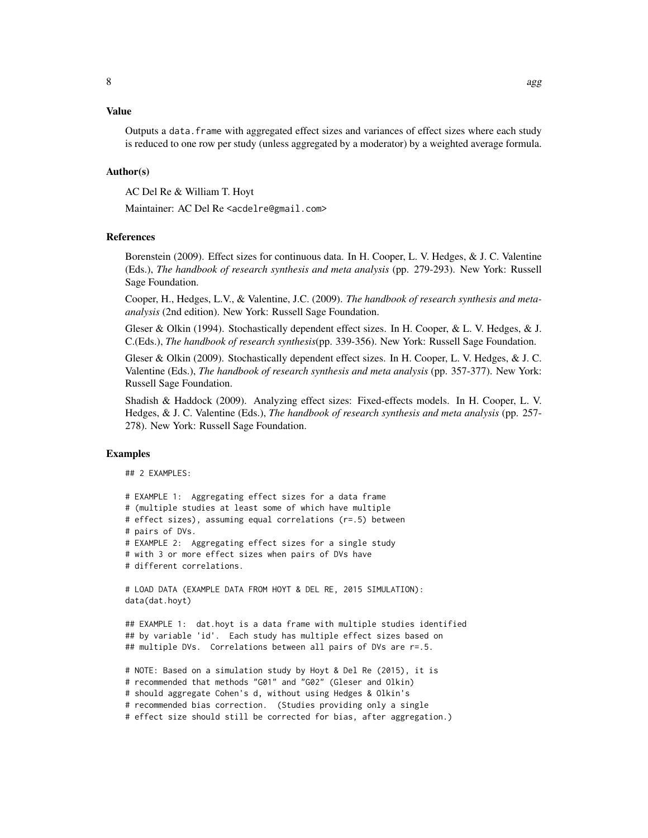## Value

Outputs a data.frame with aggregated effect sizes and variances of effect sizes where each study is reduced to one row per study (unless aggregated by a moderator) by a weighted average formula.

#### Author(s)

AC Del Re & William T. Hoyt

Maintainer: AC Del Re <acdelre@gmail.com>

#### References

Borenstein (2009). Effect sizes for continuous data. In H. Cooper, L. V. Hedges, & J. C. Valentine (Eds.), *The handbook of research synthesis and meta analysis* (pp. 279-293). New York: Russell Sage Foundation.

Cooper, H., Hedges, L.V., & Valentine, J.C. (2009). *The handbook of research synthesis and metaanalysis* (2nd edition). New York: Russell Sage Foundation.

Gleser & Olkin (1994). Stochastically dependent effect sizes. In H. Cooper, & L. V. Hedges, & J. C.(Eds.), *The handbook of research synthesis*(pp. 339-356). New York: Russell Sage Foundation.

Gleser & Olkin (2009). Stochastically dependent effect sizes. In H. Cooper, L. V. Hedges, & J. C. Valentine (Eds.), *The handbook of research synthesis and meta analysis* (pp. 357-377). New York: Russell Sage Foundation.

Shadish & Haddock (2009). Analyzing effect sizes: Fixed-effects models. In H. Cooper, L. V. Hedges, & J. C. Valentine (Eds.), *The handbook of research synthesis and meta analysis* (pp. 257- 278). New York: Russell Sage Foundation.

#### Examples

## 2 EXAMPLES:

```
# EXAMPLE 1: Aggregating effect sizes for a data frame
# (multiple studies at least some of which have multiple
# effect sizes), assuming equal correlations (r=.5) between
# pairs of DVs.
# EXAMPLE 2: Aggregating effect sizes for a single study
# with 3 or more effect sizes when pairs of DVs have
# different correlations.
# LOAD DATA (EXAMPLE DATA FROM HOYT & DEL RE, 2015 SIMULATION):
data(dat.hoyt)
```
## EXAMPLE 1: dat.hoyt is a data frame with multiple studies identified ## by variable 'id'. Each study has multiple effect sizes based on ## multiple DVs. Correlations between all pairs of DVs are r=.5.

# NOTE: Based on a simulation study by Hoyt & Del Re (2015), it is # recommended that methods "G01" and "G02" (Gleser and Olkin) # should aggregate Cohen's d, without using Hedges & Olkin's # recommended bias correction. (Studies providing only a single # effect size should still be corrected for bias, after aggregation.)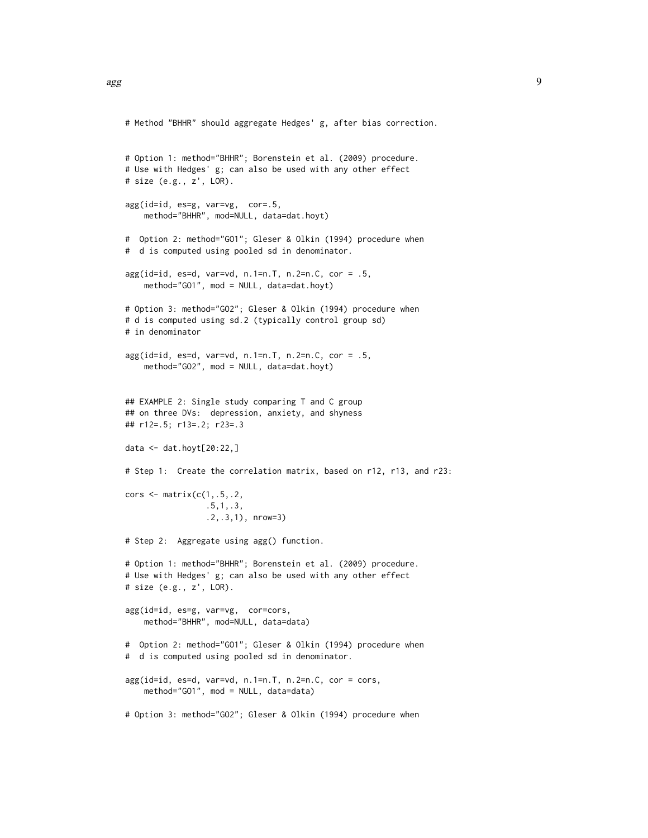```
# Method "BHHR" should aggregate Hedges' g, after bias correction.
# Option 1: method="BHHR"; Borenstein et al. (2009) procedure.
# Use with Hedges' g; can also be used with any other effect
# size (e.g., z', LOR).
agg(id=id, es=g, var=vg, cor=.5,
   method="BHHR", mod=NULL, data=dat.hoyt)
# Option 2: method="GO1"; Gleser & Olkin (1994) procedure when
# d is computed using pooled sd in denominator.
agg(id = id, es = d, var = vd, n.1 = n.T, n.2 = n.C, cor = .5,method="GO1", mod = NULL, data=dat.hoyt)
# Option 3: method="GO2"; Gleser & Olkin (1994) procedure when
# d is computed using sd.2 (typically control group sd)
# in denominator
agg(id = id, es = d, var = vd, n.1 = n.T, n.2 = n.C, cor = .5,method="GO2", mod = NULL, data=dat.hoyt)
## EXAMPLE 2: Single study comparing T and C group
## on three DVs: depression, anxiety, and shyness
## r12=.5; r13=.2; r23=.3
data <- dat.hoyt[20:22,]
# Step 1: Create the correlation matrix, based on r12, r13, and r23:
cors \leq matrix(c(1,.5,.2,
                 .5,1,.3,
                 .2,.3,1), nrow=3)
# Step 2: Aggregate using agg() function.
# Option 1: method="BHHR"; Borenstein et al. (2009) procedure.
# Use with Hedges' g; can also be used with any other effect
# size (e.g., z', LOR).
agg(id=id, es=g, var=vg, cor=cors,
   method="BHHR", mod=NULL, data=data)
# Option 2: method="GO1"; Gleser & Olkin (1994) procedure when
# d is computed using pooled sd in denominator.
agg(id=id, es=d, var=vd, n.1=n.T, n.2=n.C, cor = cors,
   method="GO1", mod = NULL, data=data)
# Option 3: method="GO2"; Gleser & Olkin (1994) procedure when
```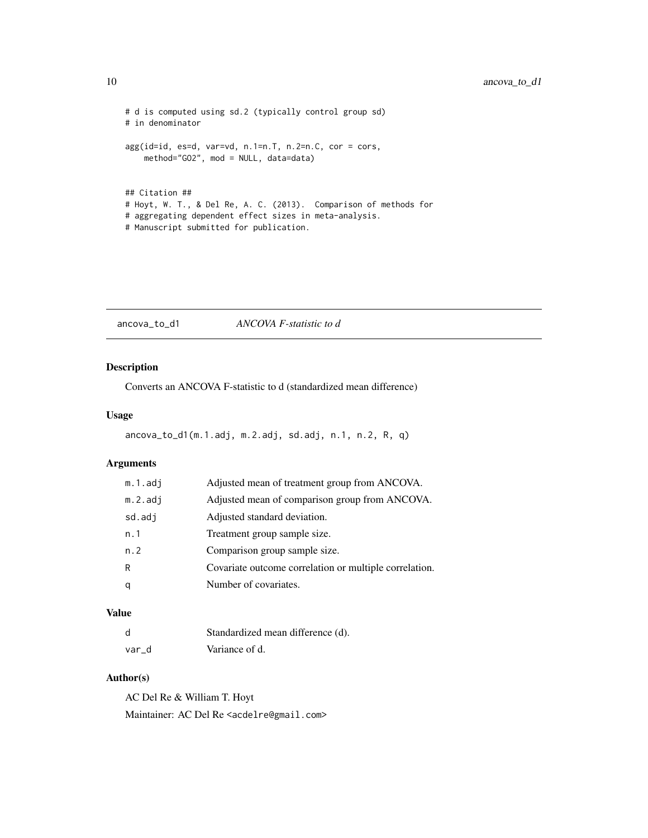```
# d is computed using sd.2 (typically control group sd)
# in denominator
agg(id=id, es=d, var=vd, n.1=n.T, n.2=n.C, cor = cors,
   method="GO2", mod = NULL, data=data)
## Citation ##
# Hoyt, W. T., & Del Re, A. C. (2013). Comparison of methods for
# aggregating dependent effect sizes in meta-analysis.
# Manuscript submitted for publication.
```
<span id="page-9-1"></span>ancova\_to\_d1 *ANCOVA F-statistic to d*

# Description

Converts an ANCOVA F-statistic to d (standardized mean difference)

# Usage

ancova\_to\_d1(m.1.adj, m.2.adj, sd.adj, n.1, n.2, R, q)

#### Arguments

| m.1.adj    | Adjusted mean of treatment group from ANCOVA.          |
|------------|--------------------------------------------------------|
| $m.2.$ adj | Adjusted mean of comparison group from ANCOVA.         |
| sd.adj     | Adjusted standard deviation.                           |
| n.1        | Treatment group sample size.                           |
| n.2        | Comparison group sample size.                          |
| R          | Covariate outcome correlation or multiple correlation. |
| q          | Number of covariates.                                  |
|            |                                                        |

# Value

| d     | Standardized mean difference (d). |
|-------|-----------------------------------|
| var d | Variance of d.                    |

# Author(s)

AC Del Re & William T. Hoyt Maintainer: AC Del Re <acdelre@gmail.com>

<span id="page-9-0"></span>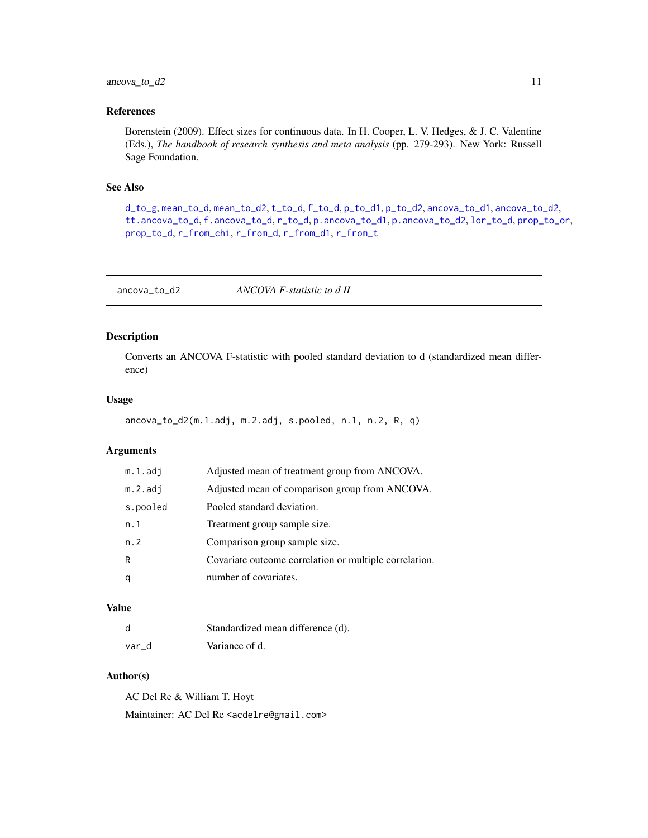# <span id="page-10-0"></span> $\arccos_1 11$  11

# References

Borenstein (2009). Effect sizes for continuous data. In H. Cooper, L. V. Hedges, & J. C. Valentine (Eds.), *The handbook of research synthesis and meta analysis* (pp. 279-293). New York: Russell Sage Foundation.

# See Also

[d\\_to\\_g](#page-19-1), [mean\\_to\\_d](#page-33-1), [mean\\_to\\_d2](#page-34-1), [t\\_to\\_d](#page-51-1), [f\\_to\\_d](#page-22-1), [p\\_to\\_d1](#page-41-1), [p\\_to\\_d2](#page-42-1), [ancova\\_to\\_d1](#page-9-1), [ancova\\_to\\_d2](#page-10-1), [tt.ancova\\_to\\_d](#page-50-1), [f.ancova\\_to\\_d](#page-20-1), [r\\_to\\_d](#page-49-1), [p.ancova\\_to\\_d1](#page-36-1), [p.ancova\\_to\\_d2](#page-37-1), [lor\\_to\\_d](#page-26-1), [prop\\_to\\_or](#page-0-0), [prop\\_to\\_d](#page-0-0), [r\\_from\\_chi](#page-45-1), [r\\_from\\_d](#page-46-1), [r\\_from\\_d1](#page-47-1), [r\\_from\\_t](#page-48-1)

<span id="page-10-1"></span>ancova\_to\_d2 *ANCOVA F-statistic to d II*

#### Description

Converts an ANCOVA F-statistic with pooled standard deviation to d (standardized mean difference)

#### Usage

ancova\_to\_d2(m.1.adj, m.2.adj, s.pooled, n.1, n.2, R, q)

# Arguments

| m.1.adj    | Adjusted mean of treatment group from ANCOVA.          |
|------------|--------------------------------------------------------|
| $m.2.$ adj | Adjusted mean of comparison group from ANCOVA.         |
| s.pooled   | Pooled standard deviation.                             |
| n.1        | Treatment group sample size.                           |
| n.2        | Comparison group sample size.                          |
| R          | Covariate outcome correlation or multiple correlation. |
| q          | number of covariates.                                  |

# Value

| d     | Standardized mean difference (d). |
|-------|-----------------------------------|
| var d | Variance of d.                    |

# Author(s)

AC Del Re & William T. Hoyt Maintainer: AC Del Re <acdelre@gmail.com>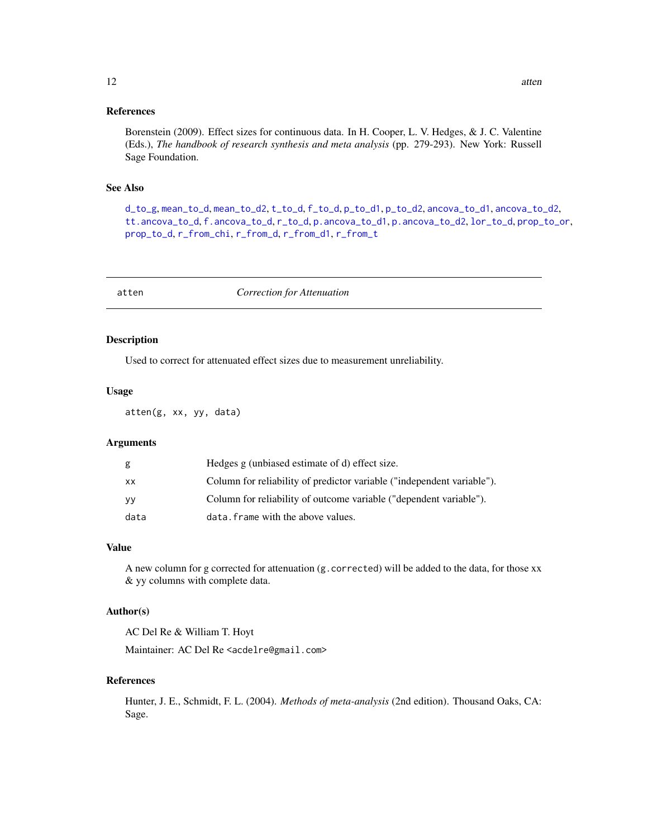#### <span id="page-11-0"></span>References

Borenstein (2009). Effect sizes for continuous data. In H. Cooper, L. V. Hedges, & J. C. Valentine (Eds.), *The handbook of research synthesis and meta analysis* (pp. 279-293). New York: Russell Sage Foundation.

#### See Also

[d\\_to\\_g](#page-19-1), [mean\\_to\\_d](#page-33-1), [mean\\_to\\_d2](#page-34-1), [t\\_to\\_d](#page-51-1), [f\\_to\\_d](#page-22-1), [p\\_to\\_d1](#page-41-1), [p\\_to\\_d2](#page-42-1), [ancova\\_to\\_d1](#page-9-1), [ancova\\_to\\_d2](#page-10-1), [tt.ancova\\_to\\_d](#page-50-1), [f.ancova\\_to\\_d](#page-20-1), [r\\_to\\_d](#page-49-1), [p.ancova\\_to\\_d1](#page-36-1), [p.ancova\\_to\\_d2](#page-37-1), [lor\\_to\\_d](#page-26-1), [prop\\_to\\_or](#page-0-0), [prop\\_to\\_d](#page-0-0), [r\\_from\\_chi](#page-45-1), [r\\_from\\_d](#page-46-1), [r\\_from\\_d1](#page-47-1), [r\\_from\\_t](#page-48-1)

atten *Correction for Attenuation*

#### Description

Used to correct for attenuated effect sizes due to measurement unreliability.

#### Usage

atten(g, xx, yy, data)

# Arguments

| g    | Hedges g (unbiased estimate of d) effect size.                         |
|------|------------------------------------------------------------------------|
| XX   | Column for reliability of predictor variable ("independent variable"). |
| yy   | Column for reliability of outcome variable ("dependent variable").     |
| data | data. frame with the above values.                                     |

# Value

A new column for g corrected for attenuation (g.corrected) will be added to the data, for those xx & yy columns with complete data.

#### Author(s)

AC Del Re & William T. Hoyt

Maintainer: AC Del Re <acdelre@gmail.com>

# References

Hunter, J. E., Schmidt, F. L. (2004). *Methods of meta-analysis* (2nd edition). Thousand Oaks, CA: Sage.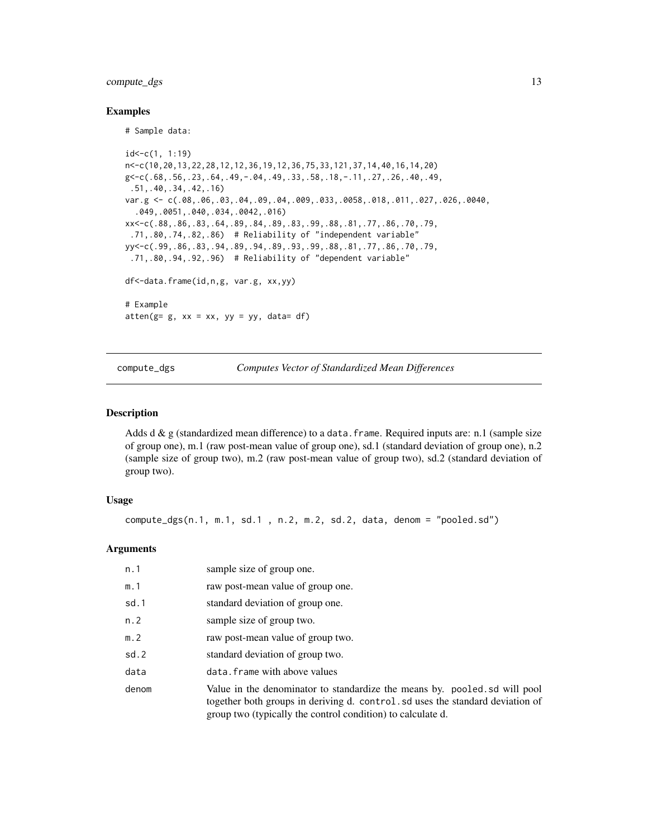# <span id="page-12-0"></span>compute\_dgs 13

#### Examples

# Sample data:

```
id < -c(1, 1:19)n<-c(10,20,13,22,28,12,12,36,19,12,36,75,33,121,37,14,40,16,14,20)
g<-c(.68,.56,.23,.64,.49,-.04,.49,.33,.58,.18,-.11,.27,.26,.40,.49,
 .51,.40,.34,.42,.16)
var.g <- c(.08,.06,.03,.04,.09,.04,.009,.033,.0058,.018,.011,.027,.026,.0040,
  .049,.0051,.040,.034,.0042,.016)
xx<-c(.88,.86,.83,.64,.89,.84,.89,.83,.99,.88,.81,.77,.86,.70,.79,
 .71,.80,.74,.82,.86) # Reliability of "independent variable"
yy<-c(.99,.86,.83,.94,.89,.94,.89,.93,.99,.88,.81,.77,.86,.70,.79,
 .71,.80,.94,.92,.96) # Reliability of "dependent variable"
df<-data.frame(id,n,g, var.g, xx,yy)
# Example
atten(g= g, xx = xx, yy = yy, data= df)
```
<span id="page-12-1"></span>compute\_dgs *Computes Vector of Standardized Mean Differences*

#### **Description**

Adds d & g (standardized mean difference) to a data.frame. Required inputs are: n.1 (sample size of group one), m.1 (raw post-mean value of group one), sd.1 (standard deviation of group one), n.2 (sample size of group two), m.2 (raw post-mean value of group two), sd.2 (standard deviation of group two).

#### Usage

```
compute_dgs(n.1, m.1, sd.1 , n.2, m.2, sd.2, data, denom = "pooled.sd")
```
#### Arguments

| n. 1  | sample size of group one.                                                                                                                                                                                                  |
|-------|----------------------------------------------------------------------------------------------------------------------------------------------------------------------------------------------------------------------------|
| m.1   | raw post-mean value of group one.                                                                                                                                                                                          |
| sd.1  | standard deviation of group one.                                                                                                                                                                                           |
| n. 2  | sample size of group two.                                                                                                                                                                                                  |
| m. 2  | raw post-mean value of group two.                                                                                                                                                                                          |
| sd.2  | standard deviation of group two.                                                                                                                                                                                           |
| data  | data. frame with above values                                                                                                                                                                                              |
| denom | Value in the denominator to standardize the means by. pooled sd will pool<br>together both groups in deriving d. control. sd uses the standard deviation of<br>group two (typically the control condition) to calculate d. |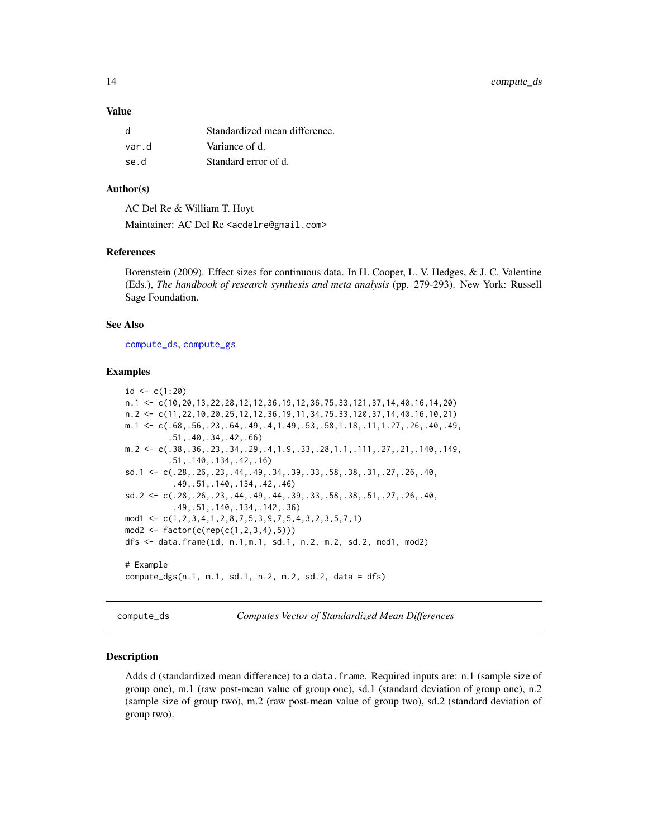#### <span id="page-13-0"></span>Value

| <sub>d</sub> | Standardized mean difference. |
|--------------|-------------------------------|
| var.d        | Variance of d.                |
| se.d         | Standard error of d.          |

#### Author(s)

AC Del Re & William T. Hoyt

Maintainer: AC Del Re <acdelre@gmail.com>

# References

Borenstein (2009). Effect sizes for continuous data. In H. Cooper, L. V. Hedges, & J. C. Valentine (Eds.), *The handbook of research synthesis and meta analysis* (pp. 279-293). New York: Russell Sage Foundation.

# See Also

[compute\\_ds](#page-13-1), [compute\\_gs](#page-15-1)

# Examples

```
id < -c(1:20)n.1 <- c(10,20,13,22,28,12,12,36,19,12,36,75,33,121,37,14,40,16,14,20)
n.2 <- c(11,22,10,20,25,12,12,36,19,11,34,75,33,120,37,14,40,16,10,21)
m.1 \leq c(.68,.56,.23,.64,.49,.4,1.49,.53,.58,1.18,.11,1.27,.26,.40,.49,
         .51,.40,.34,.42,.66)
m.2 \leftarrow c(.38,.36,.23,.34,.29,.4,1.9,.33,.28,1.1,.111,.27,.21,.140,.149,
         .51,.140,.134,.42,.16)
sd.1 <- c(.28,.26,.23,.44,.49,.34,.39,.33,.58,.38,.31,.27,.26,.40,
          .49,.51,.140,.134,.42,.46)
sd.2 <- c(.28,.26,.23,.44,.49,.44,.39,.33,.58,.38,.51,.27,.26,.40,
          .49,.51,.140,.134,.142,.36)
mod1 <- c(1,2,3,4,1,2,8,7,5,3,9,7,5,4,3,2,3,5,7,1)
mod2 < - factor(c(rep(c(1, 2, 3, 4), 5)))dfs <- data.frame(id, n.1,m.1, sd.1, n.2, m.2, sd.2, mod1, mod2)
# Example
compute_dgs(n.1, m.1, sd.1, n.2, m.2, sd.2, data = dfs)
```
<span id="page-13-1"></span>compute\_ds *Computes Vector of Standardized Mean Differences*

#### Description

Adds d (standardized mean difference) to a data.frame. Required inputs are: n.1 (sample size of group one), m.1 (raw post-mean value of group one), sd.1 (standard deviation of group one), n.2 (sample size of group two), m.2 (raw post-mean value of group two), sd.2 (standard deviation of group two).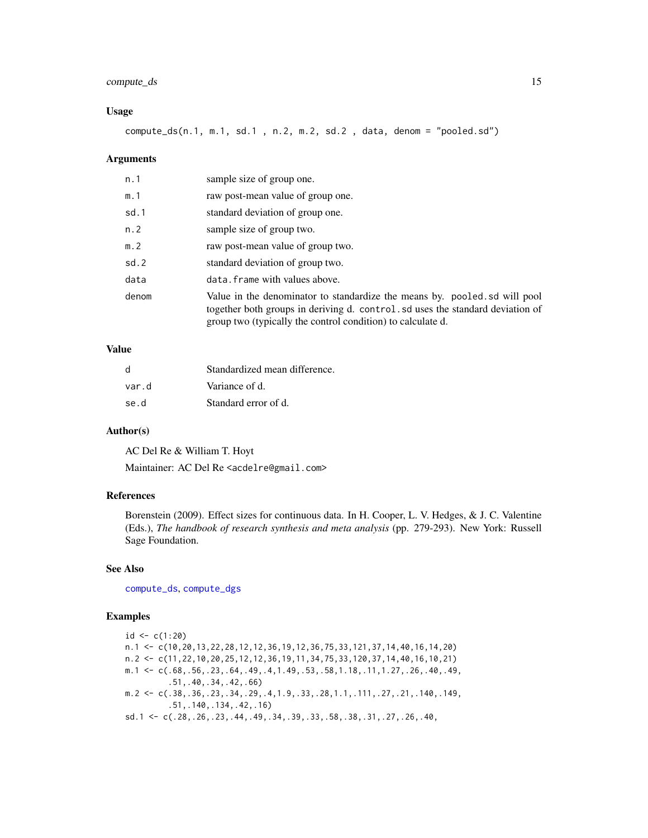# <span id="page-14-0"></span>compute\_ds 15

#### Usage

compute\_ds(n.1, m.1, sd.1 , n.2, m.2, sd.2 , data, denom = "pooled.sd")

#### Arguments

| n. 1  | sample size of group one.                                                                                                                                                                                                  |
|-------|----------------------------------------------------------------------------------------------------------------------------------------------------------------------------------------------------------------------------|
| m.1   | raw post-mean value of group one.                                                                                                                                                                                          |
| sd.1  | standard deviation of group one.                                                                                                                                                                                           |
| n. 2  | sample size of group two.                                                                                                                                                                                                  |
| m. 2  | raw post-mean value of group two.                                                                                                                                                                                          |
| sd.2  | standard deviation of group two.                                                                                                                                                                                           |
| data  | data. frame with values above.                                                                                                                                                                                             |
| denom | Value in the denominator to standardize the means by. pooled of will pool<br>together both groups in deriving d. control. sd uses the standard deviation of<br>group two (typically the control condition) to calculate d. |

# Value

| d     | Standardized mean difference. |
|-------|-------------------------------|
| var.d | Variance of d.                |
| se.d  | Standard error of d.          |

# Author(s)

AC Del Re & William T. Hoyt

Maintainer: AC Del Re <acdelre@gmail.com>

# References

Borenstein (2009). Effect sizes for continuous data. In H. Cooper, L. V. Hedges, & J. C. Valentine (Eds.), *The handbook of research synthesis and meta analysis* (pp. 279-293). New York: Russell Sage Foundation.

# See Also

[compute\\_ds](#page-13-1), [compute\\_dgs](#page-12-1)

# Examples

 $id < -c(1:20)$ n.1 <- c(10,20,13,22,28,12,12,36,19,12,36,75,33,121,37,14,40,16,14,20) n.2 <- c(11,22,10,20,25,12,12,36,19,11,34,75,33,120,37,14,40,16,10,21) m.1  $\leq$  c(.68,.56,.23,.64,.49,.4,1.49,.53,.58,1.18,.11,1.27,.26,.40,.49, .51,.40,.34,.42,.66) m.2  $\leftarrow$  c(.38,.36,.23,.34,.29,.4,1.9,.33,.28,1.1,.111,.27,.21,.140,.149, .51,.140,.134,.42,.16) sd.1 <- c(.28,.26,.23,.44,.49,.34,.39,.33,.58,.38,.31,.27,.26,.40,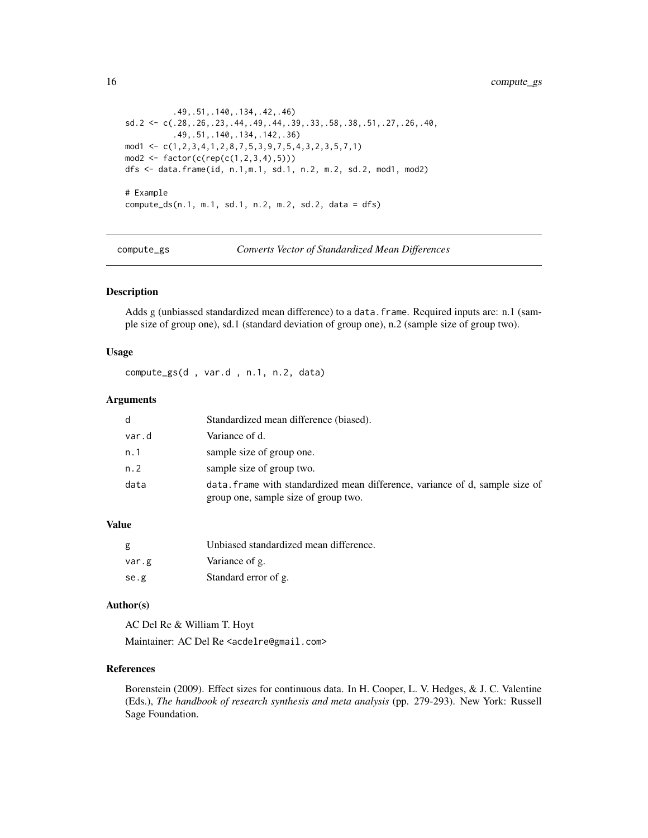```
.49,.51,.140,.134,.42,.46)
sd.2 <- c(.28,.26,.23,.44,.49,.44,.39,.33,.58,.38,.51,.27,.26,.40,
          .49,.51,.140,.134,.142,.36)
mod1 \leq c(1, 2, 3, 4, 1, 2, 8, 7, 5, 3, 9, 7, 5, 4, 3, 2, 3, 5, 7, 1)mod2 <- factor(c(rep(c(1,2,3,4),5)))
dfs <- data.frame(id, n.1,m.1, sd.1, n.2, m.2, sd.2, mod1, mod2)
# Example
compute_ds(n.1, m.1, sd.1, n.2, m.2, sd.2, data = dfs)
```
<span id="page-15-1"></span>compute\_gs *Converts Vector of Standardized Mean Differences*

# Description

Adds g (unbiassed standardized mean difference) to a data.frame. Required inputs are: n.1 (sample size of group one), sd.1 (standard deviation of group one), n.2 (sample size of group two).

#### Usage

compute\_gs(d , var.d , n.1, n.2, data)

#### Arguments

| d     | Standardized mean difference (biased).                                                                               |
|-------|----------------------------------------------------------------------------------------------------------------------|
| var.d | Variance of d.                                                                                                       |
| n.1   | sample size of group one.                                                                                            |
| n.2   | sample size of group two.                                                                                            |
| data  | data. frame with standardized mean difference, variance of d, sample size of<br>group one, sample size of group two. |

#### Value

| g     | Unbiased standardized mean difference. |
|-------|----------------------------------------|
| var.g | Variance of g.                         |
| se.g  | Standard error of g.                   |

#### Author(s)

AC Del Re & William T. Hoyt Maintainer: AC Del Re <acdelre@gmail.com>

# References

Borenstein (2009). Effect sizes for continuous data. In H. Cooper, L. V. Hedges, & J. C. Valentine (Eds.), *The handbook of research synthesis and meta analysis* (pp. 279-293). New York: Russell Sage Foundation.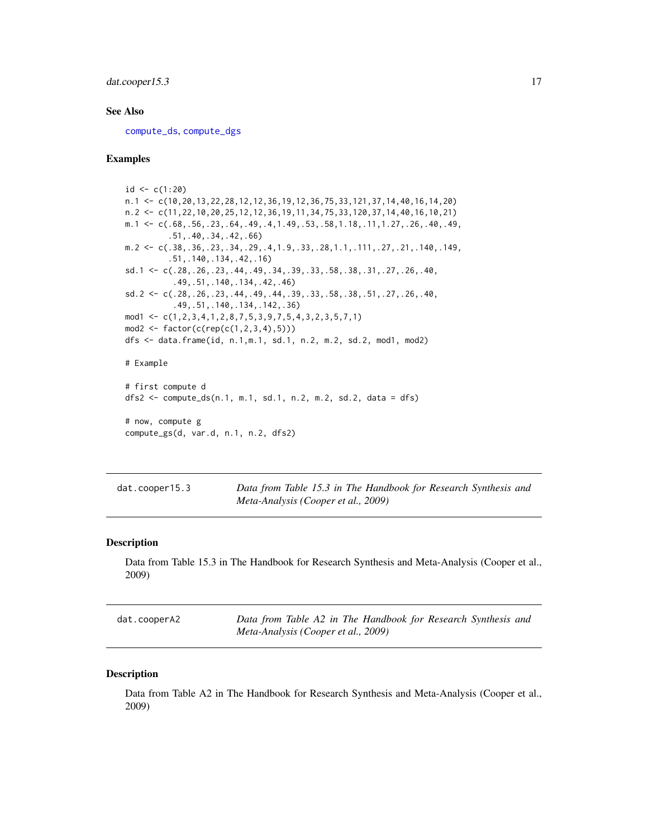# <span id="page-16-0"></span>dat.cooper15.3 17

# See Also

[compute\\_ds](#page-13-1), [compute\\_dgs](#page-12-1)

#### Examples

```
id < -c(1:20)n.1 <- c(10,20,13,22,28,12,12,36,19,12,36,75,33,121,37,14,40,16,14,20)
n.2 <- c(11,22,10,20,25,12,12,36,19,11,34,75,33,120,37,14,40,16,10,21)
m.1 <- c(.68,.56,.23,.64,.49,.4,1.49,.53,.58,1.18,.11,1.27,.26,.40,.49,
         .51,.40,.34,.42,.66)
m. 2 \leq c \leq (0.38,0.36,0.23,0.34,0.29,0.4,1.9,0.33,0.28,1.1,0.111,0.27,0.21,0.140,0.149,0.149).51,.140,.134,.42,.16)
sd.1 <- c(.28,.26,.23,.44,.49,.34,.39,.33,.58,.38,.31,.27,.26,.40,
          .49,.51,.140,.134,.42,.46)
sd.2 <- c(.28,.26,.23,.44,.49,.44,.39,.33,.58,.38,.51,.27,.26,.40,
          .49,.51,.140,.134,.142,.36)
mod1 <- c(1,2,3,4,1,2,8,7,5,3,9,7,5,4,3,2,3,5,7,1)
mod2 < - factor(c(rep(c(1, 2, 3, 4), 5)))dfs <- data.frame(id, n.1,m.1, sd.1, n.2, m.2, sd.2, mod1, mod2)
# Example
# first compute d
dfs2 <- compute_ds(n.1, m.1, sd.1, n.2, m.2, sd.2, data = dfs)
# now, compute g
compute_gs(d, var.d, n.1, n.2, dfs2)
```

| dat.cooper15.3 | Data from Table 15.3 in The Handbook for Research Synthesis and |  |  |  |
|----------------|-----------------------------------------------------------------|--|--|--|
|                | Meta-Analysis (Cooper et al., 2009)                             |  |  |  |

# Description

Data from Table 15.3 in The Handbook for Research Synthesis and Meta-Analysis (Cooper et al., 2009)

| dat.cooperA2 | Data from Table A2 in The Handbook for Research Synthesis and |
|--------------|---------------------------------------------------------------|
|              | Meta-Analysis (Cooper et al., 2009)                           |

#### Description

Data from Table A2 in The Handbook for Research Synthesis and Meta-Analysis (Cooper et al., 2009)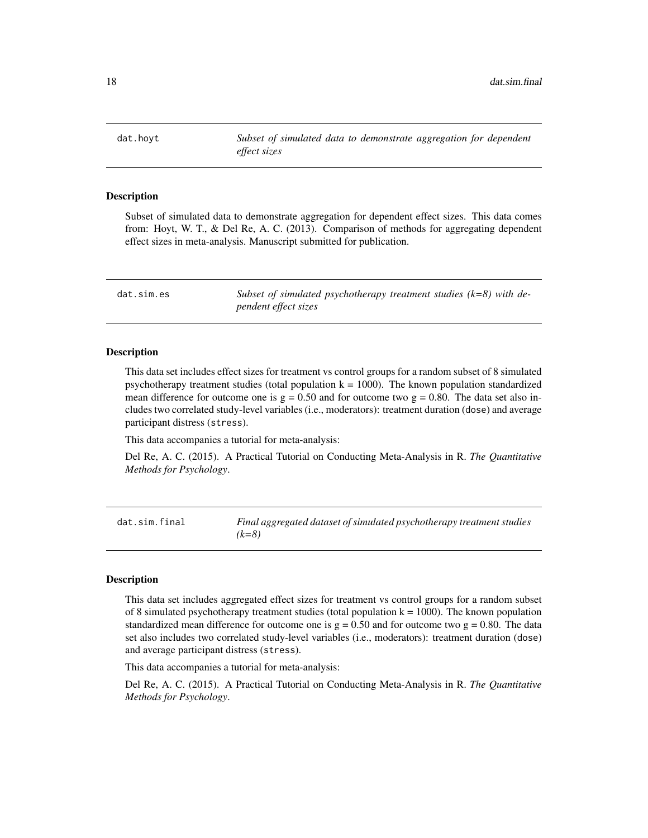<span id="page-17-0"></span>dat.hoyt *Subset of simulated data to demonstrate aggregation for dependent effect sizes*

#### Description

Subset of simulated data to demonstrate aggregation for dependent effect sizes. This data comes from: Hoyt, W. T., & Del Re, A. C. (2013). Comparison of methods for aggregating dependent effect sizes in meta-analysis. Manuscript submitted for publication.

| dat.sim.es | Subset of simulated psychotherapy treatment studies $(k=8)$ with de- |  |
|------------|----------------------------------------------------------------------|--|
|            | <i>pendent effect sizes</i>                                          |  |

#### Description

This data set includes effect sizes for treatment vs control groups for a random subset of 8 simulated psychotherapy treatment studies (total population  $k = 1000$ ). The known population standardized mean difference for outcome one is  $g = 0.50$  and for outcome two  $g = 0.80$ . The data set also includes two correlated study-level variables (i.e., moderators): treatment duration (dose) and average participant distress (stress).

This data accompanies a tutorial for meta-analysis:

Del Re, A. C. (2015). A Practical Tutorial on Conducting Meta-Analysis in R. *The Quantitative Methods for Psychology*.

dat.sim.final *Final aggregated dataset of simulated psychotherapy treatment studies (k=8)*

#### Description

This data set includes aggregated effect sizes for treatment vs control groups for a random subset of 8 simulated psychotherapy treatment studies (total population  $k = 1000$ ). The known population standardized mean difference for outcome one is  $g = 0.50$  and for outcome two  $g = 0.80$ . The data set also includes two correlated study-level variables (i.e., moderators): treatment duration (dose) and average participant distress (stress).

This data accompanies a tutorial for meta-analysis:

Del Re, A. C. (2015). A Practical Tutorial on Conducting Meta-Analysis in R. *The Quantitative Methods for Psychology*.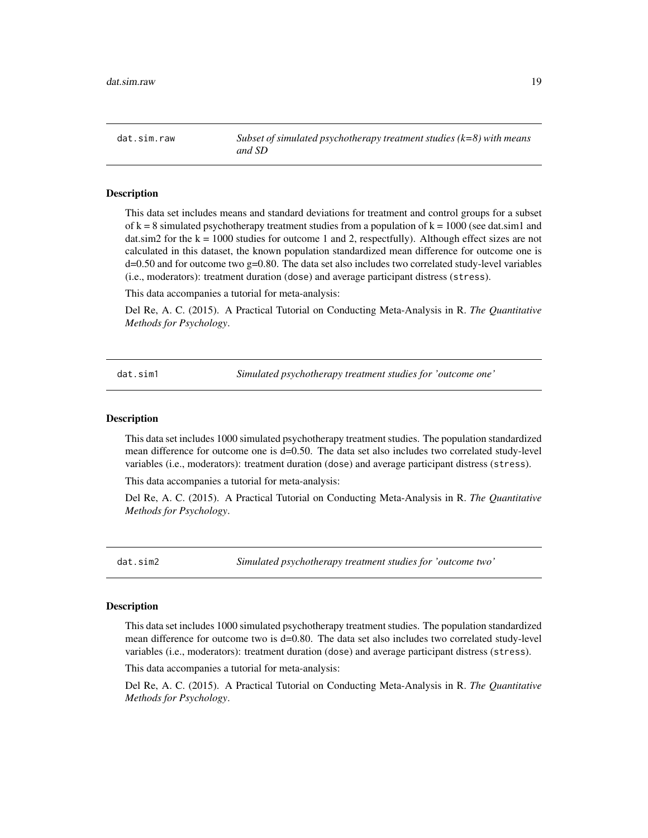<span id="page-18-0"></span>dat.sim.raw *Subset of simulated psychotherapy treatment studies (k=8) with means and SD*

#### **Description**

This data set includes means and standard deviations for treatment and control groups for a subset of  $k = 8$  simulated psychotherapy treatment studies from a population of  $k = 1000$  (see dat.sim1 and dat.sim2 for the  $k = 1000$  studies for outcome 1 and 2, respectfully). Although effect sizes are not calculated in this dataset, the known population standardized mean difference for outcome one is d=0.50 and for outcome two g=0.80. The data set also includes two correlated study-level variables (i.e., moderators): treatment duration (dose) and average participant distress (stress).

This data accompanies a tutorial for meta-analysis:

Del Re, A. C. (2015). A Practical Tutorial on Conducting Meta-Analysis in R. *The Quantitative Methods for Psychology*.

dat.sim1 *Simulated psychotherapy treatment studies for 'outcome one'*

#### **Description**

This data set includes 1000 simulated psychotherapy treatment studies. The population standardized mean difference for outcome one is d=0.50. The data set also includes two correlated study-level variables (i.e., moderators): treatment duration (dose) and average participant distress (stress).

This data accompanies a tutorial for meta-analysis:

Del Re, A. C. (2015). A Practical Tutorial on Conducting Meta-Analysis in R. *The Quantitative Methods for Psychology*.

dat.sim2 *Simulated psychotherapy treatment studies for 'outcome two'*

#### Description

This data set includes 1000 simulated psychotherapy treatment studies. The population standardized mean difference for outcome two is d=0.80. The data set also includes two correlated study-level variables (i.e., moderators): treatment duration (dose) and average participant distress (stress).

This data accompanies a tutorial for meta-analysis:

Del Re, A. C. (2015). A Practical Tutorial on Conducting Meta-Analysis in R. *The Quantitative Methods for Psychology*.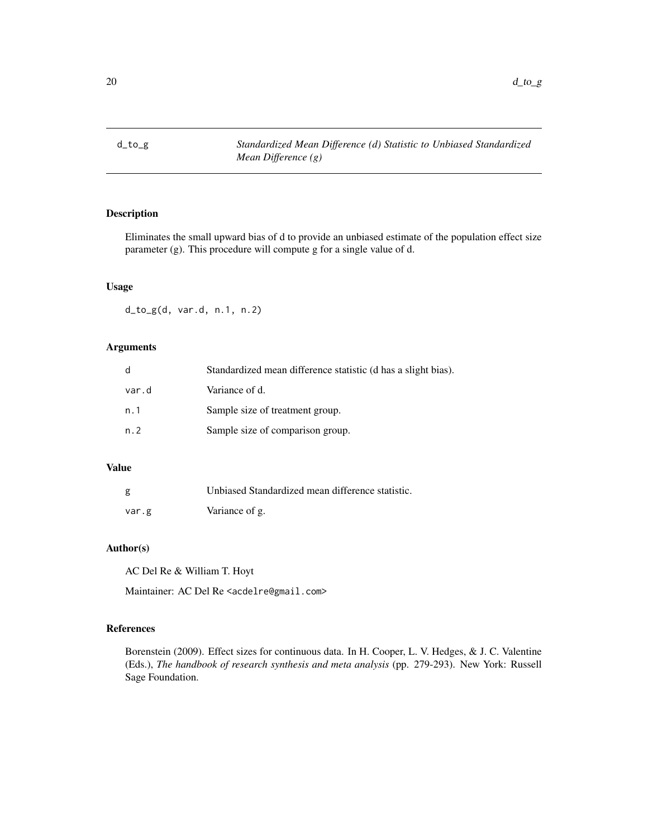<span id="page-19-1"></span><span id="page-19-0"></span>

Eliminates the small upward bias of d to provide an unbiased estimate of the population effect size parameter (g). This procedure will compute g for a single value of d.

# Usage

d\_to\_g(d, var.d, n.1, n.2)

# Arguments

| d     | Standardized mean difference statistic (d has a slight bias). |
|-------|---------------------------------------------------------------|
| var.d | Variance of d.                                                |
| n.1   | Sample size of treatment group.                               |
| n.2   | Sample size of comparison group.                              |

# Value

| g     | Unbiased Standardized mean difference statistic. |
|-------|--------------------------------------------------|
| var.g | Variance of g.                                   |

# Author(s)

AC Del Re & William T. Hoyt

Maintainer: AC Del Re <acdelre@gmail.com>

# References

Borenstein (2009). Effect sizes for continuous data. In H. Cooper, L. V. Hedges, & J. C. Valentine (Eds.), *The handbook of research synthesis and meta analysis* (pp. 279-293). New York: Russell Sage Foundation.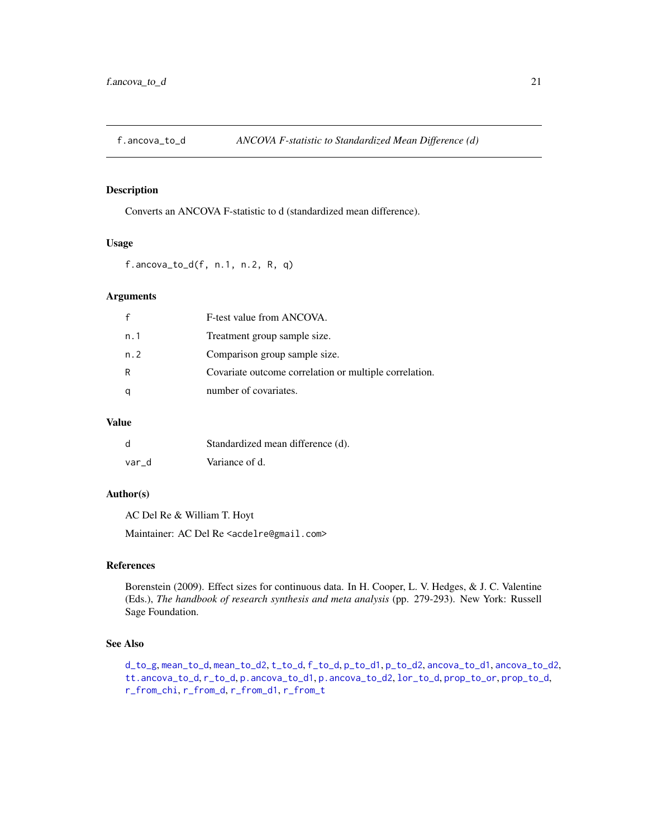<span id="page-20-1"></span><span id="page-20-0"></span>

Converts an ANCOVA F-statistic to d (standardized mean difference).

# Usage

f.ancova\_to\_d(f, n.1, n.2, R, q)

# Arguments

|     | F-test value from ANCOVA.                              |
|-----|--------------------------------------------------------|
| n.1 | Treatment group sample size.                           |
| n.2 | Comparison group sample size.                          |
| R   | Covariate outcome correlation or multiple correlation. |
| q   | number of covariates.                                  |

# Value

| d     | Standardized mean difference (d). |
|-------|-----------------------------------|
| var d | Variance of d.                    |

#### Author(s)

AC Del Re & William T. Hoyt

Maintainer: AC Del Re <acdelre@gmail.com>

# References

Borenstein (2009). Effect sizes for continuous data. In H. Cooper, L. V. Hedges, & J. C. Valentine (Eds.), *The handbook of research synthesis and meta analysis* (pp. 279-293). New York: Russell Sage Foundation.

# See Also

[d\\_to\\_g](#page-19-1), [mean\\_to\\_d](#page-33-1), [mean\\_to\\_d2](#page-34-1), [t\\_to\\_d](#page-51-1), [f\\_to\\_d](#page-22-1), [p\\_to\\_d1](#page-41-1), [p\\_to\\_d2](#page-42-1), [ancova\\_to\\_d1](#page-9-1), [ancova\\_to\\_d2](#page-10-1), [tt.ancova\\_to\\_d](#page-50-1), [r\\_to\\_d](#page-49-1), [p.ancova\\_to\\_d1](#page-36-1), [p.ancova\\_to\\_d2](#page-37-1), [lor\\_to\\_d](#page-26-1), [prop\\_to\\_or](#page-0-0), [prop\\_to\\_d](#page-0-0), [r\\_from\\_chi](#page-45-1), [r\\_from\\_d](#page-46-1), [r\\_from\\_d1](#page-47-1), [r\\_from\\_t](#page-48-1)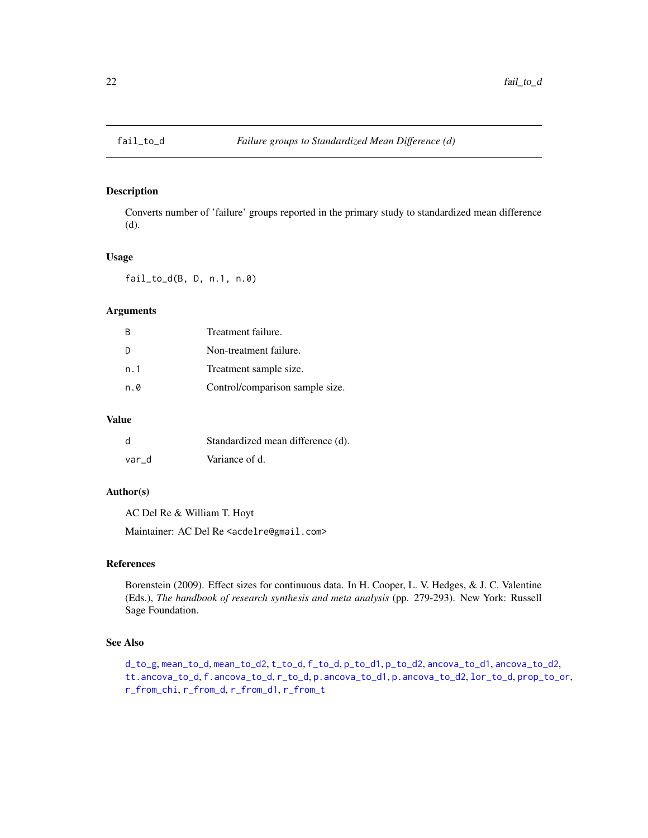<span id="page-21-0"></span>

Converts number of 'failure' groups reported in the primary study to standardized mean difference (d).

# Usage

fail\_to\_d(B, D, n.1, n.0)

# Arguments

| B   | Treatment failure.              |
|-----|---------------------------------|
| D   | Non-treatment failure.          |
| n.1 | Treatment sample size.          |
| n.0 | Control/comparison sample size. |

#### Value

| d     | Standardized mean difference (d). |
|-------|-----------------------------------|
| var d | Variance of d.                    |

#### Author(s)

AC Del Re & William T. Hoyt

Maintainer: AC Del Re <acdelre@gmail.com>

#### References

Borenstein (2009). Effect sizes for continuous data. In H. Cooper, L. V. Hedges, & J. C. Valentine (Eds.), *The handbook of research synthesis and meta analysis* (pp. 279-293). New York: Russell Sage Foundation.

# See Also

```
d_to_g, mean_to_d, mean_to_d2, t_to_d, f_to_d, p_to_d1, p_to_d2, ancova_to_d1, ancova_to_d2,
tt.ancova_to_d, f.ancova_to_d, r_to_d, p.ancova_to_d1, p.ancova_to_d2, lor_to_d, prop_to_or,
r_from_chi, r_from_d, r_from_d1, r_from_t
```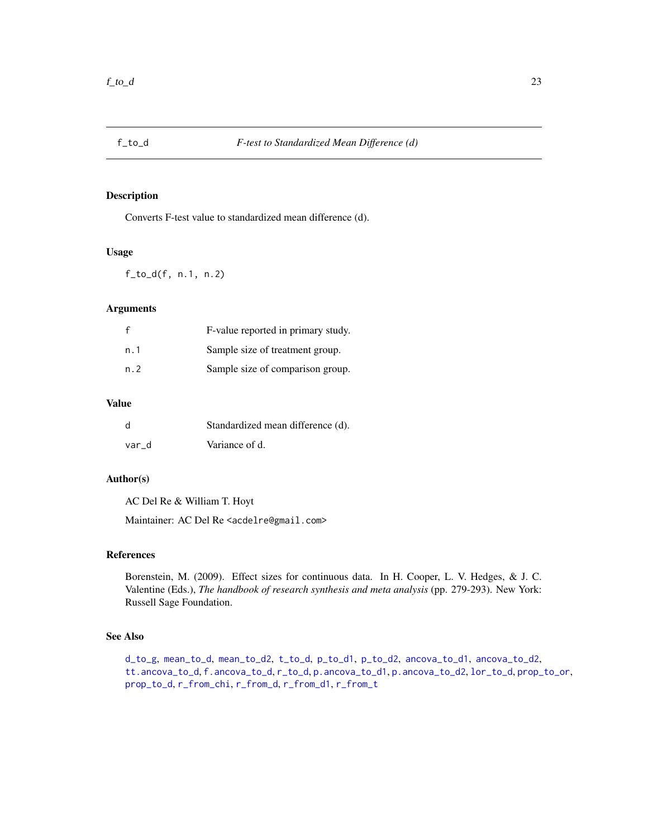<span id="page-22-1"></span><span id="page-22-0"></span>

Converts F-test value to standardized mean difference (d).

### Usage

f\_to\_d(f, n.1, n.2)

# Arguments

| f    | F-value reported in primary study. |
|------|------------------------------------|
| n. 1 | Sample size of treatment group.    |
| n. 2 | Sample size of comparison group.   |

# Value

| d     | Standardized mean difference (d). |
|-------|-----------------------------------|
| var d | Variance of d.                    |

# Author(s)

AC Del Re & William T. Hoyt

Maintainer: AC Del Re <acdelre@gmail.com>

# References

Borenstein, M. (2009). Effect sizes for continuous data. In H. Cooper, L. V. Hedges, & J. C. Valentine (Eds.), *The handbook of research synthesis and meta analysis* (pp. 279-293). New York: Russell Sage Foundation.

#### See Also

[d\\_to\\_g](#page-19-1), [mean\\_to\\_d](#page-33-1), [mean\\_to\\_d2](#page-34-1), [t\\_to\\_d](#page-51-1), [p\\_to\\_d1](#page-41-1), [p\\_to\\_d2](#page-42-1), [ancova\\_to\\_d1](#page-9-1), [ancova\\_to\\_d2](#page-10-1), [tt.ancova\\_to\\_d](#page-50-1), [f.ancova\\_to\\_d](#page-20-1), [r\\_to\\_d](#page-49-1), [p.ancova\\_to\\_d1](#page-36-1), [p.ancova\\_to\\_d2](#page-37-1), [lor\\_to\\_d](#page-26-1), [prop\\_to\\_or](#page-0-0), [prop\\_to\\_d](#page-0-0), [r\\_from\\_chi](#page-45-1), [r\\_from\\_d](#page-46-1), [r\\_from\\_d1](#page-47-1), [r\\_from\\_t](#page-48-1)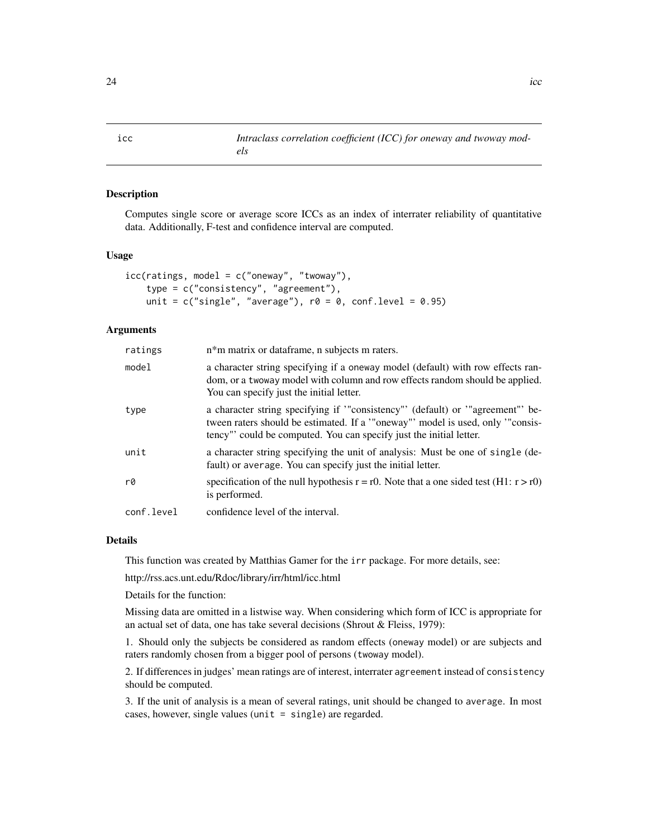<span id="page-23-0"></span>icc *Intraclass correlation coefficient (ICC) for oneway and twoway models*

#### Description

Computes single score or average score ICCs as an index of interrater reliability of quantitative data. Additionally, F-test and confidence interval are computed.

#### Usage

```
icc(ratings, model = c("oneway", "twoway"),type = c("consistency", "agreement"),
   unit = c("single", "average"), r0 = 0, conf. level = 0.95)
```
#### Arguments

| ratings    | n*m matrix or dataframe, n subjects m raters.                                                                                                                                                                                        |
|------------|--------------------------------------------------------------------------------------------------------------------------------------------------------------------------------------------------------------------------------------|
| model      | a character string specifying if a oneway model (default) with row effects ran-<br>dom, or a twoway model with column and row effects random should be applied.<br>You can specify just the initial letter.                          |
| type       | a character string specifying if "consistency" (default) or "agreement" be-<br>tween raters should be estimated. If a '"oneway"' model is used, only '"consis-<br>tency" could be computed. You can specify just the initial letter. |
| unit       | a character string specifying the unit of analysis: Must be one of single (de-<br>fault) or average. You can specify just the initial letter.                                                                                        |
| rØ         | specification of the null hypothesis $r = r0$ . Note that a one sided test (H1: $r > r0$ )<br>is performed.                                                                                                                          |
| conf.level | confidence level of the interval.                                                                                                                                                                                                    |

# Details

This function was created by Matthias Gamer for the irr package. For more details, see:

http://rss.acs.unt.edu/Rdoc/library/irr/html/icc.html

Details for the function:

Missing data are omitted in a listwise way. When considering which form of ICC is appropriate for an actual set of data, one has take several decisions (Shrout & Fleiss, 1979):

1. Should only the subjects be considered as random effects (oneway model) or are subjects and raters randomly chosen from a bigger pool of persons (twoway model).

2. If differences in judges' mean ratings are of interest, interrater agreement instead of consistency should be computed.

3. If the unit of analysis is a mean of several ratings, unit should be changed to average. In most cases, however, single values (unit = single) are regarded.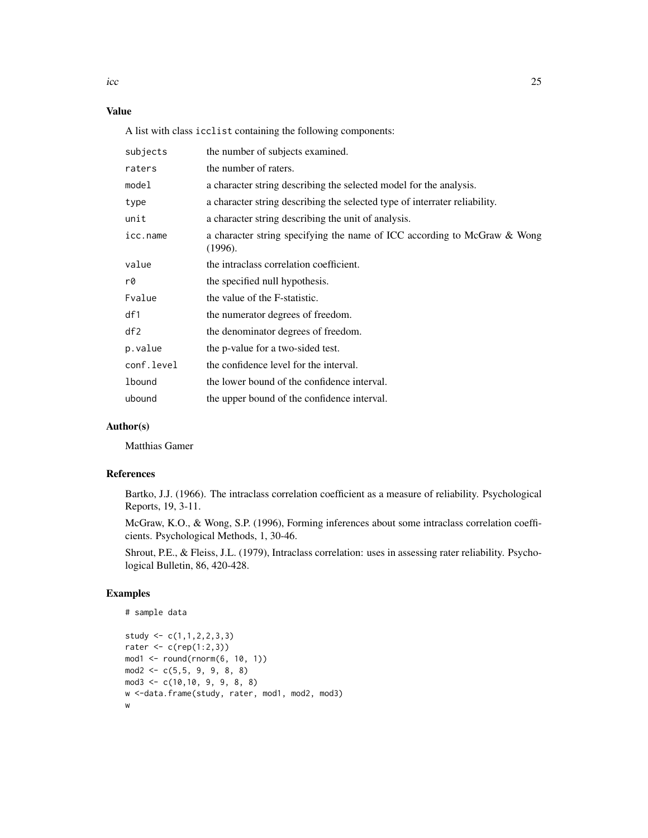$\frac{1}{25}$  25

# Value

A list with class icclist containing the following components:

| subjects      | the number of subjects examined.                                                    |
|---------------|-------------------------------------------------------------------------------------|
| raters        | the number of raters.                                                               |
| model         | a character string describing the selected model for the analysis.                  |
| type          | a character string describing the selected type of interrater reliability.          |
| unit          | a character string describing the unit of analysis.                                 |
| icc.name      | a character string specifying the name of ICC according to McGraw & Wong<br>(1996). |
| value         | the intraclass correlation coefficient.                                             |
| r0            | the specified null hypothesis.                                                      |
| Fvalue        | the value of the F-statistic.                                                       |
| df1           | the numerator degrees of freedom.                                                   |
| df2           | the denominator degrees of freedom.                                                 |
| p.value       | the p-value for a two-sided test.                                                   |
| conf.level    | the confidence level for the interval.                                              |
| <b>lbound</b> | the lower bound of the confidence interval.                                         |
| ubound        | the upper bound of the confidence interval.                                         |

# Author(s)

Matthias Gamer

#### References

Bartko, J.J. (1966). The intraclass correlation coefficient as a measure of reliability. Psychological Reports, 19, 3-11.

McGraw, K.O., & Wong, S.P. (1996), Forming inferences about some intraclass correlation coefficients. Psychological Methods, 1, 30-46.

Shrout, P.E., & Fleiss, J.L. (1979), Intraclass correlation: uses in assessing rater reliability. Psychological Bulletin, 86, 420-428.

# Examples

```
# sample data
study <- c(1,1,2,2,3,3)rater \leq c(rep(1:2,3))
mod1 <- round(rnorm(6, 10, 1))
mod2 \leq c(5, 5, 9, 9, 8, 8)mod3 <- c(10,10, 9, 9, 8, 8)
w <-data.frame(study, rater, mod1, mod2, mod3)
w
```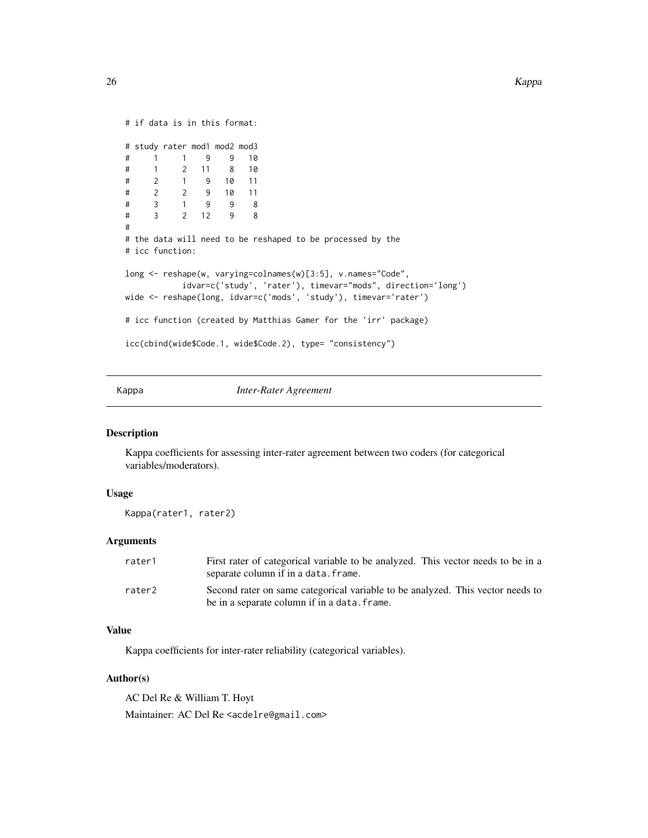```
# if data is in this format:
# study rater mod1 mod2 mod3
# 1 1 9 9 10
# 1 2 11 8 10
# 2 1 9 10 11
# 2 2 9 10 11
# 3 1 9 9 8
# 3 2 12 9 8
#
# the data will need to be reshaped to be processed by the
# icc function:
long <- reshape(w, varying=colnames(w)[3:5], v.names="Code",
          idvar=c('study', 'rater'), timevar="mods", direction='long')
wide <- reshape(long, idvar=c('mods', 'study'), timevar='rater')
# icc function (created by Matthias Gamer for the 'irr' package)
icc(cbind(wide$Code.1, wide$Code.2), type= "consistency")
```
Kappa *Inter-Rater Agreement*

#### Description

Kappa coefficients for assessing inter-rater agreement between two coders (for categorical variables/moderators).

#### Usage

```
Kappa(rater1, rater2)
```
# Arguments

| rater1 | First rater of categorical variable to be analyzed. This vector needs to be in a<br>separate column if in a data. frame.       |
|--------|--------------------------------------------------------------------------------------------------------------------------------|
| rater2 | Second rater on same categorical variable to be analyzed. This vector needs to<br>be in a separate column if in a data. frame. |

# Value

Kappa coefficients for inter-rater reliability (categorical variables).

#### Author(s)

AC Del Re & William T. Hoyt Maintainer: AC Del Re <acdelre@gmail.com>

<span id="page-25-0"></span>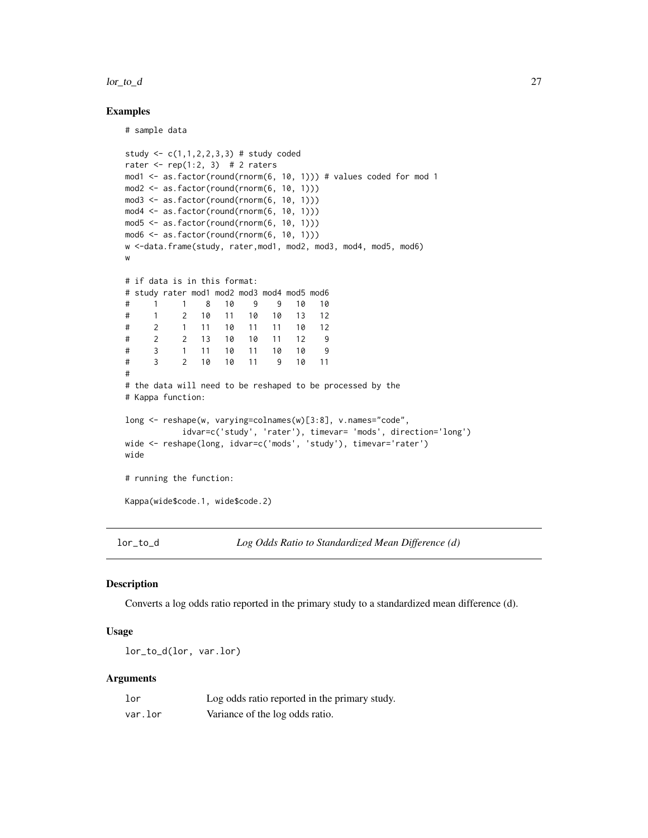#### <span id="page-26-0"></span> $\log_{10} 27$

#### Examples

# sample data

```
study <- c(1,1,2,2,3,3) # study coded
rater \leq rep(1:2, 3) # 2 raters
mod1 <- as.factor(round(rnorm(6, 10, 1))) # values coded for mod 1
mod2 <- as.factor(round(rnorm(6, 10, 1)))
mod3 <- as.factor(round(rnorm(6, 10, 1)))
mod4 <- as.factor(round(rnorm(6, 10, 1)))
mod5 \leq as.factor(round(rnorm(6, 10, 1)))
mod6 <- as.factor(round(rnorm(6, 10, 1)))
w <-data.frame(study, rater,mod1, mod2, mod3, mod4, mod5, mod6)
w
# if data is in this format:
# study rater mod1 mod2 mod3 mod4 mod5 mod6
# 1 1 8 10 9 9 10 10
# 1 2 10 11 10 10 13 12
# 2 1 11 10 11 11 10 12
# 2 2 13 10 10 11 12 9
# 3 1 11 10 11 10 10 9
# 3 2 10 10 11 9 10 11
#
# the data will need to be reshaped to be processed by the
# Kappa function:
long <- reshape(w, varying=colnames(w)[3:8], v.names="code",
          idvar=c('study', 'rater'), timevar= 'mods', direction='long')
wide <- reshape(long, idvar=c('mods', 'study'), timevar='rater')
wide
# running the function:
Kappa(wide$code.1, wide$code.2)
```
<span id="page-26-1"></span>lor\_to\_d *Log Odds Ratio to Standardized Mean Difference (d)*

#### Description

Converts a log odds ratio reported in the primary study to a standardized mean difference (d).

## Usage

```
lor_to_d(lor, var.lor)
```
#### Arguments

| lor     | Log odds ratio reported in the primary study. |
|---------|-----------------------------------------------|
| var.lor | Variance of the log odds ratio.               |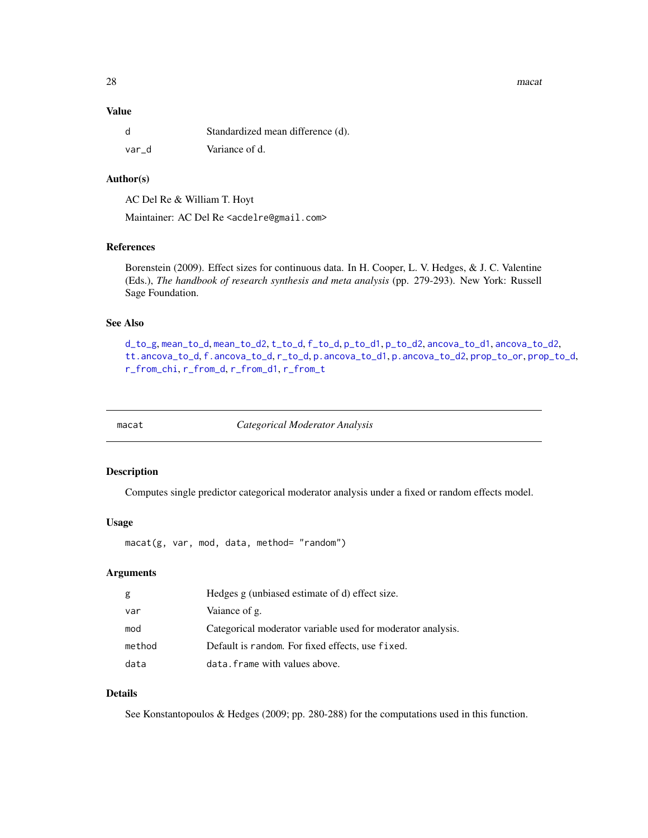<span id="page-27-0"></span>28 macathau 1972 - 1982 a bhliain 1982 an t-Iomraid ann an t-Iomraid ann an t-Iomraid ann an t-Iomraid ann an t-Iomraid ann an t-Iomraid ann an t-Iomraid ann an t-Iomraid ann an t-Iomraid ann an t-Iomraid ann an t-Iomraid

# Value

|       | Standardized mean difference (d). |
|-------|-----------------------------------|
| var d | Variance of d.                    |

### Author(s)

AC Del Re & William T. Hoyt

Maintainer: AC Del Re <acdelre@gmail.com>

# References

Borenstein (2009). Effect sizes for continuous data. In H. Cooper, L. V. Hedges, & J. C. Valentine (Eds.), *The handbook of research synthesis and meta analysis* (pp. 279-293). New York: Russell Sage Foundation.

# See Also

```
d_to_g, mean_to_d, mean_to_d2, t_to_d, f_to_d, p_to_d1, p_to_d2, ancova_to_d1, ancova_to_d2,
tt.ancova_to_d, f.ancova_to_d, r_to_d, p.ancova_to_d1, p.ancova_to_d2, prop_to_or, prop_to_d,
r_from_chi, r_from_d, r_from_d1, r_from_t
```
<span id="page-27-1"></span>

macat *Categorical Moderator Analysis*

# Description

Computes single predictor categorical moderator analysis under a fixed or random effects model.

# Usage

macat(g, var, mod, data, method= "random")

#### Arguments

| g      | Hedges g (unbiased estimate of d) effect size.              |
|--------|-------------------------------------------------------------|
| var    | Vaiance of g.                                               |
| mod    | Categorical moderator variable used for moderator analysis. |
| method | Default is random. For fixed effects, use fixed.            |
| data   | data. frame with values above.                              |

# Details

See Konstantopoulos & Hedges (2009; pp. 280-288) for the computations used in this function.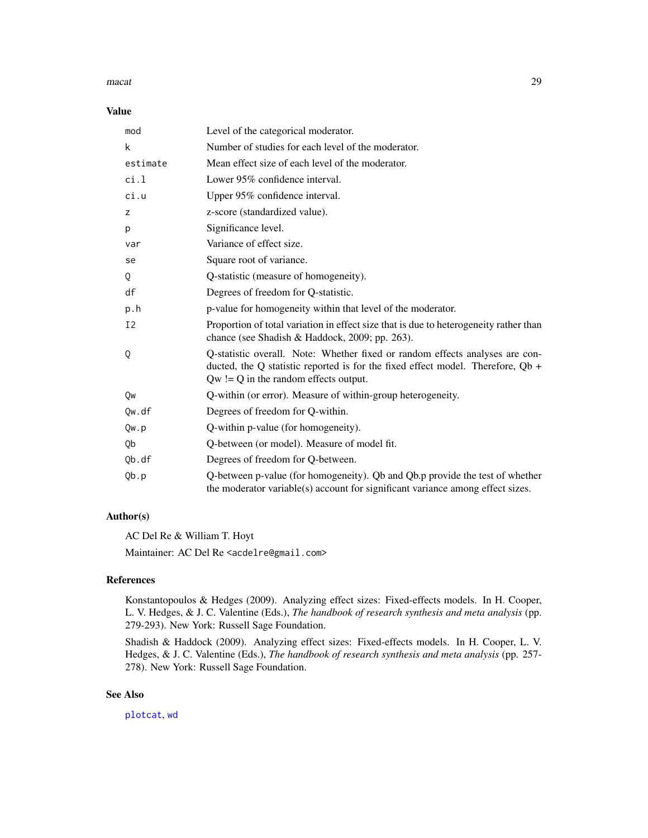#### <span id="page-28-0"></span> $\text{macat}$  29

#### Value

| mod            | Level of the categorical moderator.                                                                                                                                                                        |
|----------------|------------------------------------------------------------------------------------------------------------------------------------------------------------------------------------------------------------|
| k              | Number of studies for each level of the moderator.                                                                                                                                                         |
| estimate       | Mean effect size of each level of the moderator.                                                                                                                                                           |
| ci.1           | Lower 95% confidence interval.                                                                                                                                                                             |
| ci.u           | Upper 95% confidence interval.                                                                                                                                                                             |
| z              | z-score (standardized value).                                                                                                                                                                              |
| p              | Significance level.                                                                                                                                                                                        |
| var            | Variance of effect size.                                                                                                                                                                                   |
| se             | Square root of variance.                                                                                                                                                                                   |
| Q              | Q-statistic (measure of homogeneity).                                                                                                                                                                      |
| df             | Degrees of freedom for Q-statistic.                                                                                                                                                                        |
| p.h            | p-value for homogeneity within that level of the moderator.                                                                                                                                                |
| I <sub>2</sub> | Proportion of total variation in effect size that is due to heterogeneity rather than<br>chance (see Shadish & Haddock, 2009; pp. 263).                                                                    |
| Q              | Q-statistic overall. Note: Whether fixed or random effects analyses are con-<br>ducted, the Q statistic reported is for the fixed effect model. Therefore, Qb +<br>$Qw := Q$ in the random effects output. |
| Qw             | Q-within (or error). Measure of within-group heterogeneity.                                                                                                                                                |
| Qw.df          | Degrees of freedom for Q-within.                                                                                                                                                                           |
| Qw.p           | Q-within p-value (for homogeneity).                                                                                                                                                                        |
| 0b             | Q-between (or model). Measure of model fit.                                                                                                                                                                |
| Qb.df          | Degrees of freedom for Q-between.                                                                                                                                                                          |
| Qb.p           | Q-between p-value (for homogeneity). Qb and Qb.p provide the test of whether<br>the moderator variable(s) account for significant variance among effect sizes.                                             |

#### Author(s)

AC Del Re & William T. Hoyt

Maintainer: AC Del Re <acdelre@gmail.com>

# References

Konstantopoulos & Hedges (2009). Analyzing effect sizes: Fixed-effects models. In H. Cooper, L. V. Hedges, & J. C. Valentine (Eds.), *The handbook of research synthesis and meta analysis* (pp. 279-293). New York: Russell Sage Foundation.

Shadish & Haddock (2009). Analyzing effect sizes: Fixed-effects models. In H. Cooper, L. V. Hedges, & J. C. Valentine (Eds.), *The handbook of research synthesis and meta analysis* (pp. 257- 278). New York: Russell Sage Foundation.

# See Also

[plotcat](#page-38-1), [wd](#page-52-1)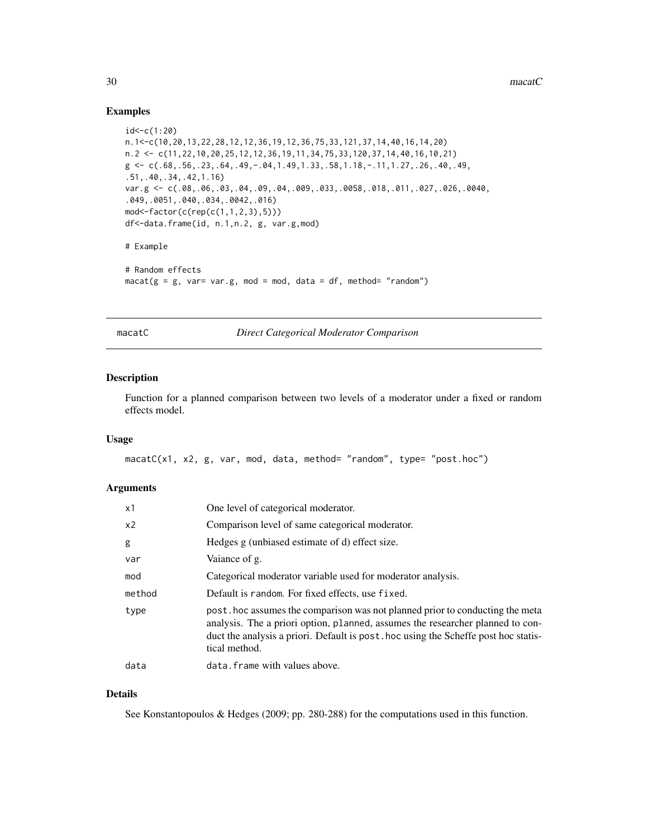#### Examples

```
id < -c(1:20)n.1<-c(10,20,13,22,28,12,12,36,19,12,36,75,33,121,37,14,40,16,14,20)
n.2 <- c(11,22,10,20,25,12,12,36,19,11,34,75,33,120,37,14,40,16,10,21)
g \leftarrow c(.68, .56, .23, .64, .49, -.04, 1.49, 1.33, .58, 1.18, -.11, 1.27, .26, .40, .49,.51,.40,.34,.42,1.16)
var.g <- c(.08,.06,.03,.04,.09,.04,.009,.033,.0058,.018,.011,.027,.026,.0040,
.049,.0051,.040,.034,.0042,.016)
mod<-factor(c(rep(c(1,1,2,3),5)))
df<-data.frame(id, n.1,n.2, g, var.g,mod)
# Example
# Random effects
macat(g = g, var= var.g, mod = mod, data = df, method='random")
```
macatC *Direct Categorical Moderator Comparison*

#### Description

Function for a planned comparison between two levels of a moderator under a fixed or random effects model.

#### Usage

macatC(x1, x2, g, var, mod, data, method= "random", type= "post.hoc")

#### Arguments

| x1             | One level of categorical moderator.                                                                                                                                                                                                                                   |
|----------------|-----------------------------------------------------------------------------------------------------------------------------------------------------------------------------------------------------------------------------------------------------------------------|
| x <sub>2</sub> | Comparison level of same categorical moderator.                                                                                                                                                                                                                       |
| g              | Hedges g (unbiased estimate of d) effect size.                                                                                                                                                                                                                        |
| var            | Vaiance of g.                                                                                                                                                                                                                                                         |
| mod            | Categorical moderator variable used for moderator analysis.                                                                                                                                                                                                           |
| method         | Default is random. For fixed effects, use fixed.                                                                                                                                                                                                                      |
| type           | post hoc assumes the comparison was not planned prior to conducting the meta<br>analysis. The a priori option, planned, assumes the researcher planned to con-<br>duct the analysis a priori. Default is post hoc using the Scheffe post hoc statis-<br>tical method. |
| data           | data. frame with values above.                                                                                                                                                                                                                                        |

#### Details

See Konstantopoulos & Hedges (2009; pp. 280-288) for the computations used in this function.

<span id="page-29-0"></span>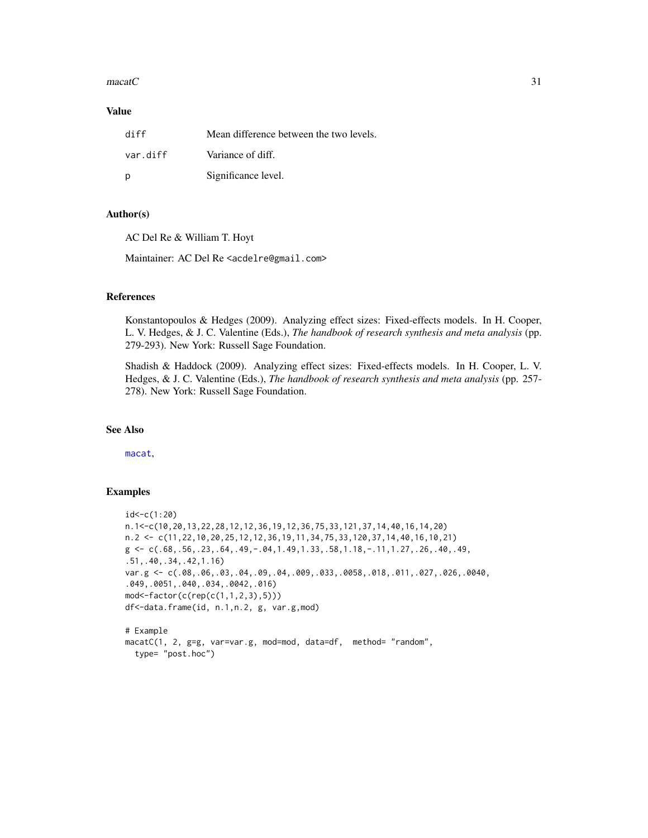#### <span id="page-30-0"></span> $\text{maxat}$ C 31

### Value

| diff     | Mean difference between the two levels. |
|----------|-----------------------------------------|
| var.diff | Variance of diff.                       |
| - p      | Significance level.                     |

#### Author(s)

AC Del Re & William T. Hoyt

Maintainer: AC Del Re <acdelre@gmail.com>

# References

Konstantopoulos & Hedges (2009). Analyzing effect sizes: Fixed-effects models. In H. Cooper, L. V. Hedges, & J. C. Valentine (Eds.), *The handbook of research synthesis and meta analysis* (pp. 279-293). New York: Russell Sage Foundation.

Shadish & Haddock (2009). Analyzing effect sizes: Fixed-effects models. In H. Cooper, L. V. Hedges, & J. C. Valentine (Eds.), *The handbook of research synthesis and meta analysis* (pp. 257- 278). New York: Russell Sage Foundation.

# See Also

[macat](#page-27-1),

# Examples

```
id < -c(1:20)n.1<-c(10,20,13,22,28,12,12,36,19,12,36,75,33,121,37,14,40,16,14,20)
n.2 <- c(11,22,10,20,25,12,12,36,19,11,34,75,33,120,37,14,40,16,10,21)
g \leftarrow c(.68,.56,.23,.64,.49,-.04,1.49,1.33,.58,1.18,-.11,1.27,.26,.40,.49,.51,.40,.34,.42,1.16)
var.g <- c(.08,.06,.03,.04,.09,.04,.009,.033,.0058,.018,.011,.027,.026,.0040,
.049,.0051,.040,.034,.0042,.016)
mod<-factor(c(rep(c(1,1,2,3),5)))
df<-data.frame(id, n.1,n.2, g, var.g,mod)
# Example
macatC(1, 2, g=g, var=var.g, mod=mod, data=df, method= "random",
  type= "post.hoc")
```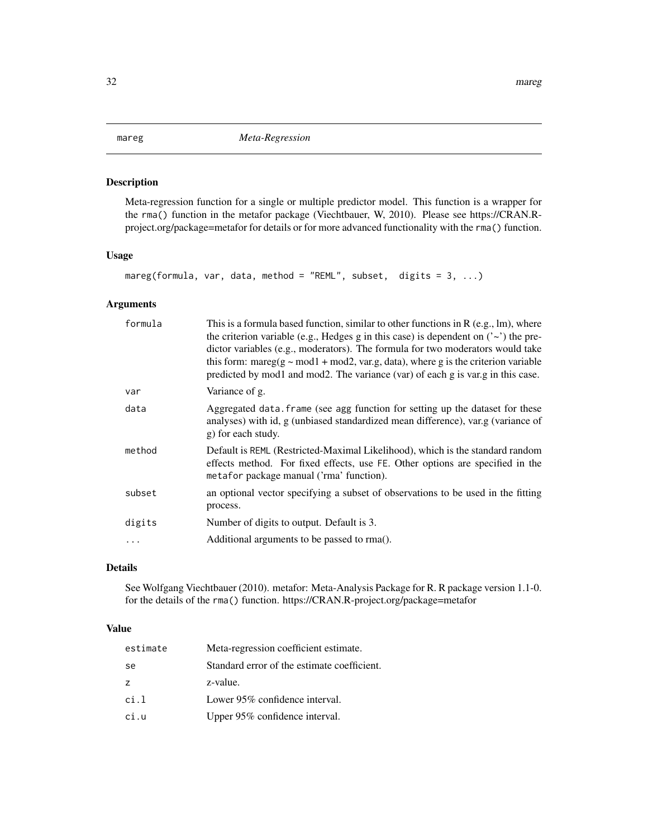<span id="page-31-1"></span><span id="page-31-0"></span>Meta-regression function for a single or multiple predictor model. This function is a wrapper for the rma() function in the metafor package (Viechtbauer, W, 2010). Please see https://CRAN.Rproject.org/package=metafor for details or for more advanced functionality with the rma() function.

# Usage

```
mareg(formula, var, data, method = "REML", subset, digits = 3, ...)
```
# Arguments

| formula | This is a formula based function, similar to other functions in $R(e.g., Im)$ , where<br>the criterion variable (e.g., Hedges g in this case) is dependent on $('~)$ the pre-<br>dictor variables (e.g., moderators). The formula for two moderators would take<br>this form: mareg( $g \sim$ mod1 + mod2, var.g, data), where g is the criterion variable<br>predicted by mod1 and mod2. The variance (var) of each g is var.g in this case. |
|---------|-----------------------------------------------------------------------------------------------------------------------------------------------------------------------------------------------------------------------------------------------------------------------------------------------------------------------------------------------------------------------------------------------------------------------------------------------|
| var     | Variance of g.                                                                                                                                                                                                                                                                                                                                                                                                                                |
| data    | Aggregated data. frame (see agg function for setting up the dataset for these<br>analyses) with id, g (unbiased standardized mean difference), var.g (variance of<br>g) for each study.                                                                                                                                                                                                                                                       |
| method  | Default is REML (Restricted-Maximal Likelihood), which is the standard random<br>effects method. For fixed effects, use FE. Other options are specified in the<br>metafor package manual ('rma' function).                                                                                                                                                                                                                                    |
| subset  | an optional vector specifying a subset of observations to be used in the fitting<br>process.                                                                                                                                                                                                                                                                                                                                                  |
| digits  | Number of digits to output. Default is 3.                                                                                                                                                                                                                                                                                                                                                                                                     |
|         | Additional arguments to be passed to rma().                                                                                                                                                                                                                                                                                                                                                                                                   |
|         |                                                                                                                                                                                                                                                                                                                                                                                                                                               |

# Details

See Wolfgang Viechtbauer (2010). metafor: Meta-Analysis Package for R. R package version 1.1-0. for the details of the rma() function. https://CRAN.R-project.org/package=metafor

#### Value

| estimate | Meta-regression coefficient estimate.       |
|----------|---------------------------------------------|
| se       | Standard error of the estimate coefficient. |
| z        | z-value.                                    |
| ci.1     | Lower 95% confidence interval.              |
| ci.u     | Upper 95% confidence interval.              |
|          |                                             |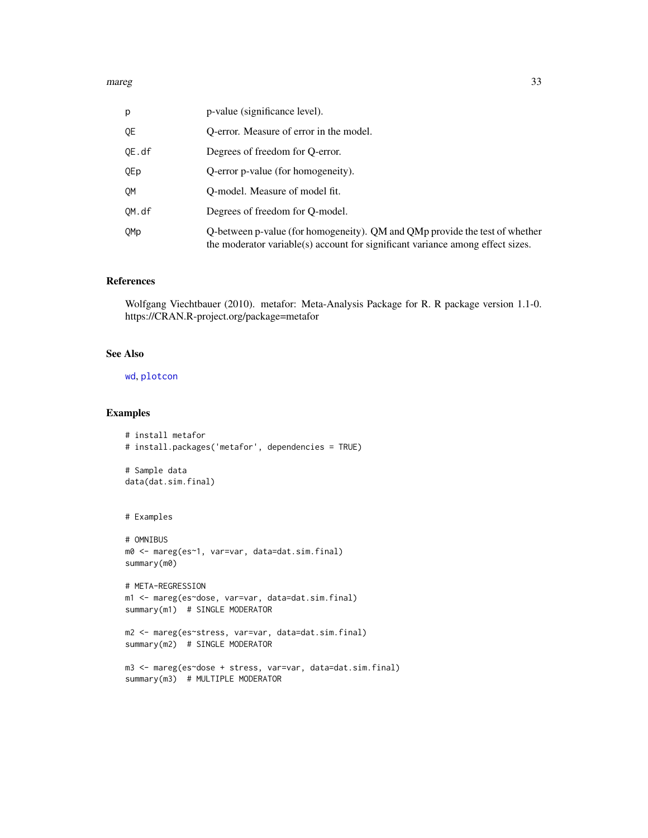<span id="page-32-0"></span>

| p               | p-value (significance level).                                                                                                                                 |
|-----------------|---------------------------------------------------------------------------------------------------------------------------------------------------------------|
| QE              | O-error. Measure of error in the model.                                                                                                                       |
| QE.df           | Degrees of freedom for O-error.                                                                                                                               |
| QEp             | Q-error p-value (for homogeneity).                                                                                                                            |
| OM              | O-model. Measure of model fit.                                                                                                                                |
| OM.df           | Degrees of freedom for Q-model.                                                                                                                               |
| 0 <sub>Mp</sub> | Q-between p-value (for homogeneity). QM and QMp provide the test of whether<br>the moderator variable(s) account for significant variance among effect sizes. |

#### References

Wolfgang Viechtbauer (2010). metafor: Meta-Analysis Package for R. R package version 1.1-0. https://CRAN.R-project.org/package=metafor

#### See Also

[wd](#page-52-1), [plotcon](#page-39-1)

#### Examples

```
# install metafor
# install.packages('metafor', dependencies = TRUE)
# Sample data
data(dat.sim.final)
# Examples
# OMNIBUS
m0 <- mareg(es~1, var=var, data=dat.sim.final)
summary(m0)
# META-REGRESSION
m1 <- mareg(es~dose, var=var, data=dat.sim.final)
summary(m1) # SINGLE MODERATOR
m2 <- mareg(es~stress, var=var, data=dat.sim.final)
summary(m2) # SINGLE MODERATOR
m3 <- mareg(es~dose + stress, var=var, data=dat.sim.final)
summary(m3) # MULTIPLE MODERATOR
```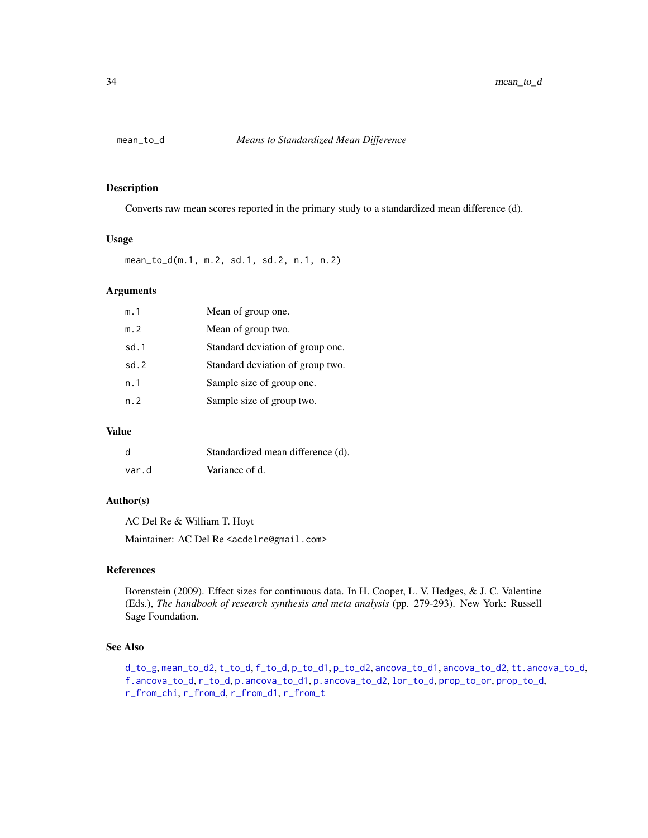<span id="page-33-1"></span><span id="page-33-0"></span>

Converts raw mean scores reported in the primary study to a standardized mean difference (d).

#### Usage

mean\_to\_d(m.1, m.2, sd.1, sd.2, n.1, n.2)

# Arguments

| m.1  | Mean of group one.               |
|------|----------------------------------|
| m.2  | Mean of group two.               |
| sd.1 | Standard deviation of group one. |
| sd.2 | Standard deviation of group two. |
| n.1  | Sample size of group one.        |
| n.2  | Sample size of group two.        |

# Value

| d     | Standardized mean difference (d). |
|-------|-----------------------------------|
| var.d | Variance of d.                    |

# Author(s)

AC Del Re & William T. Hoyt

Maintainer: AC Del Re <acdelre@gmail.com>

# References

Borenstein (2009). Effect sizes for continuous data. In H. Cooper, L. V. Hedges, & J. C. Valentine (Eds.), *The handbook of research synthesis and meta analysis* (pp. 279-293). New York: Russell Sage Foundation.

# See Also

[d\\_to\\_g](#page-19-1), [mean\\_to\\_d2](#page-34-1), [t\\_to\\_d](#page-51-1), [f\\_to\\_d](#page-22-1), [p\\_to\\_d1](#page-41-1), [p\\_to\\_d2](#page-42-1), [ancova\\_to\\_d1](#page-9-1), [ancova\\_to\\_d2](#page-10-1), [tt.ancova\\_to\\_d](#page-50-1), [f.ancova\\_to\\_d](#page-20-1), [r\\_to\\_d](#page-49-1), [p.ancova\\_to\\_d1](#page-36-1), [p.ancova\\_to\\_d2](#page-37-1), [lor\\_to\\_d](#page-26-1), [prop\\_to\\_or](#page-0-0), [prop\\_to\\_d](#page-0-0), [r\\_from\\_chi](#page-45-1), [r\\_from\\_d](#page-46-1), [r\\_from\\_d1](#page-47-1), [r\\_from\\_t](#page-48-1)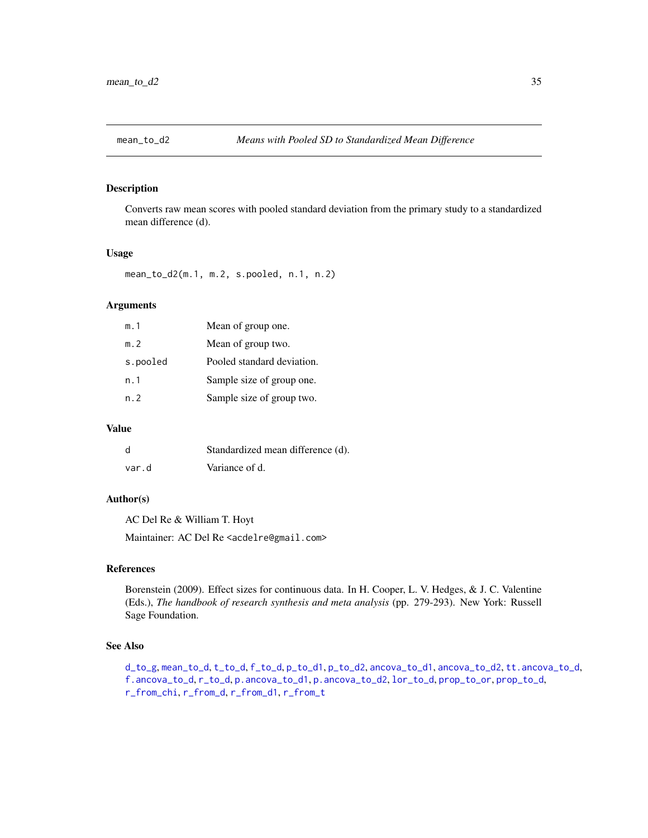<span id="page-34-1"></span><span id="page-34-0"></span>

Converts raw mean scores with pooled standard deviation from the primary study to a standardized mean difference (d).

#### Usage

mean\_to\_d2(m.1, m.2, s.pooled, n.1, n.2)

# Arguments

| m.1      | Mean of group one.         |
|----------|----------------------------|
| m.2      | Mean of group two.         |
| s.pooled | Pooled standard deviation. |
| n. 1     | Sample size of group one.  |
| n. 2     | Sample size of group two.  |

# Value

| d     | Standardized mean difference (d). |
|-------|-----------------------------------|
| var.d | Variance of d.                    |

#### Author(s)

AC Del Re & William T. Hoyt

Maintainer: AC Del Re <acdelre@gmail.com>

#### References

Borenstein (2009). Effect sizes for continuous data. In H. Cooper, L. V. Hedges, & J. C. Valentine (Eds.), *The handbook of research synthesis and meta analysis* (pp. 279-293). New York: Russell Sage Foundation.

# See Also

[d\\_to\\_g](#page-19-1), [mean\\_to\\_d](#page-33-1), [t\\_to\\_d](#page-51-1), [f\\_to\\_d](#page-22-1), [p\\_to\\_d1](#page-41-1), [p\\_to\\_d2](#page-42-1), [ancova\\_to\\_d1](#page-9-1), [ancova\\_to\\_d2](#page-10-1), [tt.ancova\\_to\\_d](#page-50-1), [f.ancova\\_to\\_d](#page-20-1), [r\\_to\\_d](#page-49-1), [p.ancova\\_to\\_d1](#page-36-1), [p.ancova\\_to\\_d2](#page-37-1), [lor\\_to\\_d](#page-26-1), [prop\\_to\\_or](#page-0-0), [prop\\_to\\_d](#page-0-0), [r\\_from\\_chi](#page-45-1), [r\\_from\\_d](#page-46-1), [r\\_from\\_d1](#page-47-1), [r\\_from\\_t](#page-48-1)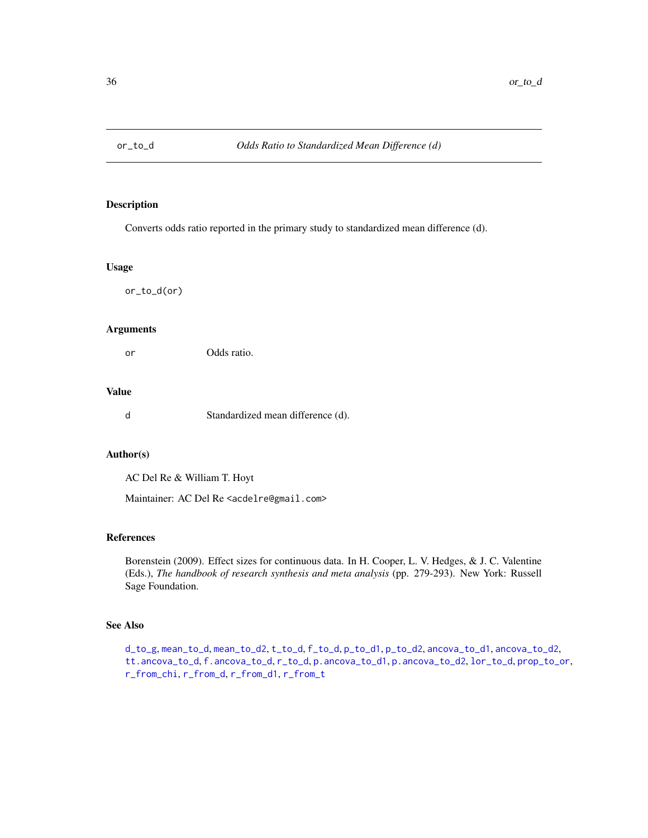<span id="page-35-0"></span>

Converts odds ratio reported in the primary study to standardized mean difference (d).

# Usage

or\_to\_d(or)

#### Arguments

or Odds ratio.

# Value

d Standardized mean difference (d).

# Author(s)

AC Del Re & William T. Hoyt

Maintainer: AC Del Re <acdelre@gmail.com>

#### References

Borenstein (2009). Effect sizes for continuous data. In H. Cooper, L. V. Hedges, & J. C. Valentine (Eds.), *The handbook of research synthesis and meta analysis* (pp. 279-293). New York: Russell Sage Foundation.

# See Also

[d\\_to\\_g](#page-19-1), [mean\\_to\\_d](#page-33-1), [mean\\_to\\_d2](#page-34-1), [t\\_to\\_d](#page-51-1), [f\\_to\\_d](#page-22-1), [p\\_to\\_d1](#page-41-1), [p\\_to\\_d2](#page-42-1), [ancova\\_to\\_d1](#page-9-1), [ancova\\_to\\_d2](#page-10-1), [tt.ancova\\_to\\_d](#page-50-1), [f.ancova\\_to\\_d](#page-20-1), [r\\_to\\_d](#page-49-1), [p.ancova\\_to\\_d1](#page-36-1), [p.ancova\\_to\\_d2](#page-37-1), [lor\\_to\\_d](#page-26-1), [prop\\_to\\_or](#page-0-0), [r\\_from\\_chi](#page-45-1), [r\\_from\\_d](#page-46-1), [r\\_from\\_d1](#page-47-1), [r\\_from\\_t](#page-48-1)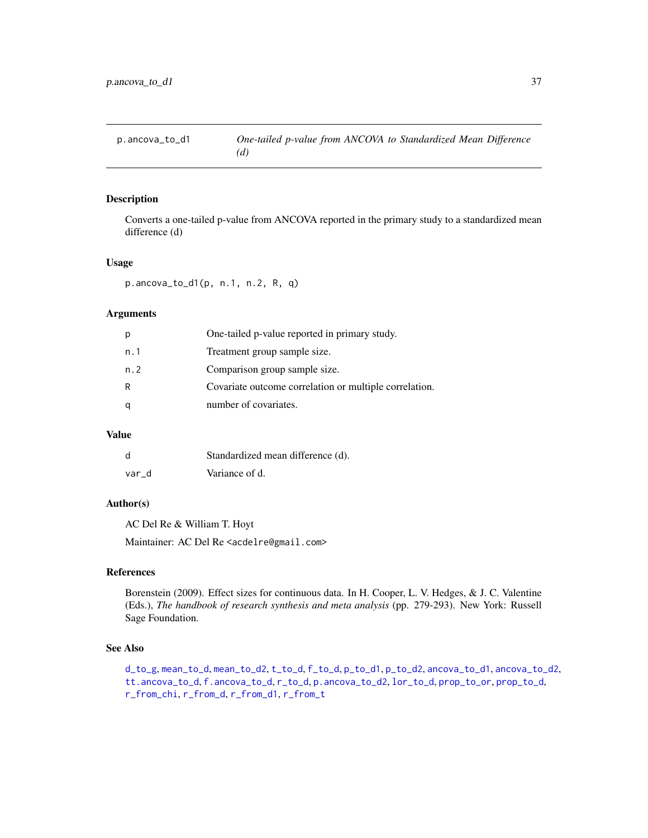<span id="page-36-1"></span><span id="page-36-0"></span>Converts a one-tailed p-value from ANCOVA reported in the primary study to a standardized mean difference (d)

#### Usage

p.ancova\_to\_d1(p, n.1, n.2, R, q)

# Arguments

| р   | One-tailed p-value reported in primary study.          |
|-----|--------------------------------------------------------|
| n.1 | Treatment group sample size.                           |
| n.2 | Comparison group sample size.                          |
| R   | Covariate outcome correlation or multiple correlation. |
| q   | number of covariates.                                  |

# Value

| d     | Standardized mean difference (d). |
|-------|-----------------------------------|
| var d | Variance of d.                    |

# Author(s)

AC Del Re & William T. Hoyt

Maintainer: AC Del Re <acdelre@gmail.com>

#### References

Borenstein (2009). Effect sizes for continuous data. In H. Cooper, L. V. Hedges, & J. C. Valentine (Eds.), *The handbook of research synthesis and meta analysis* (pp. 279-293). New York: Russell Sage Foundation.

#### See Also

[d\\_to\\_g](#page-19-1), [mean\\_to\\_d](#page-33-1), [mean\\_to\\_d2](#page-34-1), [t\\_to\\_d](#page-51-1), [f\\_to\\_d](#page-22-1), [p\\_to\\_d1](#page-41-1), [p\\_to\\_d2](#page-42-1), [ancova\\_to\\_d1](#page-9-1), [ancova\\_to\\_d2](#page-10-1), [tt.ancova\\_to\\_d](#page-50-1), [f.ancova\\_to\\_d](#page-20-1), [r\\_to\\_d](#page-49-1), [p.ancova\\_to\\_d2](#page-37-1), [lor\\_to\\_d](#page-26-1), [prop\\_to\\_or](#page-0-0), [prop\\_to\\_d](#page-0-0), [r\\_from\\_chi](#page-45-1), [r\\_from\\_d](#page-46-1), [r\\_from\\_d1](#page-47-1), [r\\_from\\_t](#page-48-1)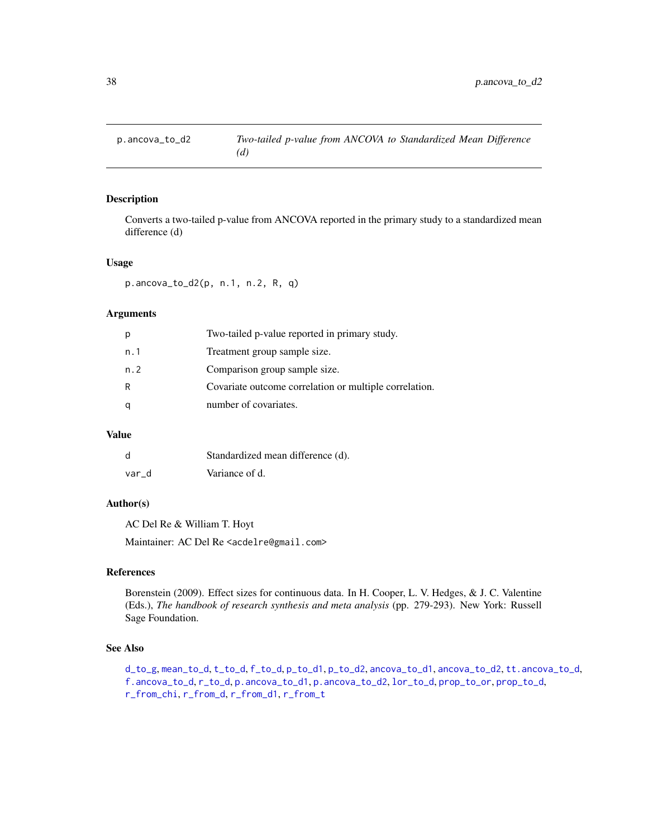<span id="page-37-1"></span><span id="page-37-0"></span>

Converts a two-tailed p-value from ANCOVA reported in the primary study to a standardized mean difference (d)

#### Usage

p.ancova\_to\_d2(p, n.1, n.2, R, q)

# Arguments

| р   | Two-tailed p-value reported in primary study.          |
|-----|--------------------------------------------------------|
| n.1 | Treatment group sample size.                           |
| n.2 | Comparison group sample size.                          |
| R   | Covariate outcome correlation or multiple correlation. |
| q   | number of covariates.                                  |

# Value

| d     | Standardized mean difference (d). |
|-------|-----------------------------------|
| var d | Variance of d.                    |

# Author(s)

AC Del Re & William T. Hoyt

Maintainer: AC Del Re <acdelre@gmail.com>

#### References

Borenstein (2009). Effect sizes for continuous data. In H. Cooper, L. V. Hedges, & J. C. Valentine (Eds.), *The handbook of research synthesis and meta analysis* (pp. 279-293). New York: Russell Sage Foundation.

#### See Also

[d\\_to\\_g](#page-19-1), [mean\\_to\\_d](#page-33-1), [t\\_to\\_d](#page-51-1), [f\\_to\\_d](#page-22-1), [p\\_to\\_d1](#page-41-1), [p\\_to\\_d2](#page-42-1), [ancova\\_to\\_d1](#page-9-1), [ancova\\_to\\_d2](#page-10-1), [tt.ancova\\_to\\_d](#page-50-1), [f.ancova\\_to\\_d](#page-20-1), [r\\_to\\_d](#page-49-1), [p.ancova\\_to\\_d1](#page-36-1), [p.ancova\\_to\\_d2](#page-37-1), [lor\\_to\\_d](#page-26-1), [prop\\_to\\_or](#page-0-0), [prop\\_to\\_d](#page-0-0), [r\\_from\\_chi](#page-45-1), [r\\_from\\_d](#page-46-1), [r\\_from\\_d1](#page-47-1), [r\\_from\\_t](#page-48-1)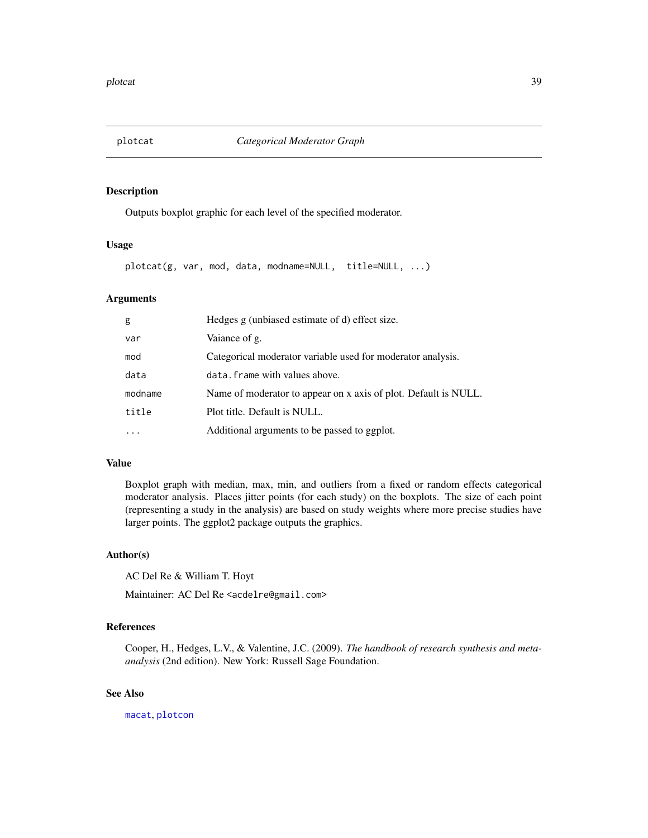<span id="page-38-1"></span><span id="page-38-0"></span>

Outputs boxplot graphic for each level of the specified moderator.

#### Usage

plotcat(g, var, mod, data, modname=NULL, title=NULL, ...)

#### Arguments

| g       | Hedges g (unbiased estimate of d) effect size.                  |
|---------|-----------------------------------------------------------------|
| var     | Vaiance of g.                                                   |
| mod     | Categorical moderator variable used for moderator analysis.     |
| data    | data. frame with values above.                                  |
| modname | Name of moderator to appear on x axis of plot. Default is NULL. |
| title   | Plot title. Default is NULL.                                    |
|         | Additional arguments to be passed to ggplot.                    |

#### Value

Boxplot graph with median, max, min, and outliers from a fixed or random effects categorical moderator analysis. Places jitter points (for each study) on the boxplots. The size of each point (representing a study in the analysis) are based on study weights where more precise studies have larger points. The ggplot2 package outputs the graphics.

# Author(s)

AC Del Re & William T. Hoyt

Maintainer: AC Del Re <acdelre@gmail.com>

# References

Cooper, H., Hedges, L.V., & Valentine, J.C. (2009). *The handbook of research synthesis and metaanalysis* (2nd edition). New York: Russell Sage Foundation.

# See Also

[macat](#page-27-1), [plotcon](#page-39-1)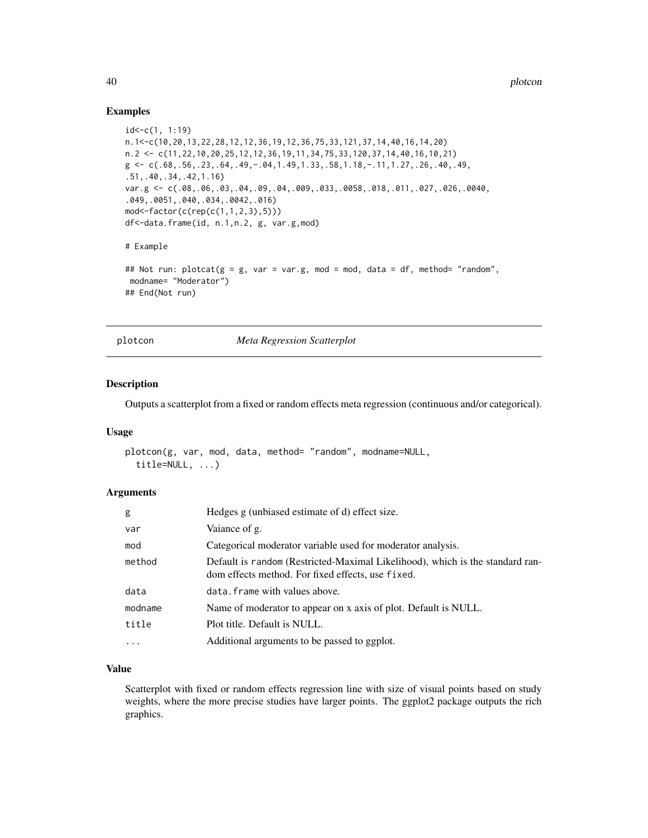#### Examples

```
id < -c(1, 1:19)n.1<-c(10,20,13,22,28,12,12,36,19,12,36,75,33,121,37,14,40,16,14,20)
n.2 <- c(11,22,10,20,25,12,12,36,19,11,34,75,33,120,37,14,40,16,10,21)
g \leftarrow c(.68,.56,.23,.64,.49,-.04,1.49,1.33,.58,1.18,-.11,1.27,.26,.40,.49,.51,.40,.34,.42,1.16)
var.g <- c(.08,.06,.03,.04,.09,.04,.009,.033,.0058,.018,.011,.027,.026,.0040,
.049,.0051,.040,.034,.0042,.016)
mod<-factor(c(rep(c(1,1,2,3),5)))
df<-data.frame(id, n.1,n.2, g, var.g,mod)
# Example
## Not run: plotcat(g = g, var = var.g, mod = mod, data = df, method= "random",
modname= "Moderator")
## End(Not run)
```
plotcon *Meta Regression Scatterplot*

# Description

Outputs a scatterplot from a fixed or random effects meta regression (continuous and/or categorical).

#### Usage

```
plotcon(g, var, mod, data, method= "random", modname=NULL,
  title=NULL, ...)
```
#### Arguments

| g        | Hedges g (unbiased estimate of d) effect size.                                                                                     |
|----------|------------------------------------------------------------------------------------------------------------------------------------|
| var      | Vaiance of g.                                                                                                                      |
| mod      | Categorical moderator variable used for moderator analysis.                                                                        |
| method   | Default is random (Restricted-Maximal Likelihood), which is the standard ran-<br>dom effects method. For fixed effects, use fixed. |
| data     | data. frame with values above.                                                                                                     |
| modname  | Name of moderator to appear on x axis of plot. Default is NULL.                                                                    |
| title    | Plot title. Default is NULL.                                                                                                       |
| $\ddots$ | Additional arguments to be passed to ggplot.                                                                                       |

# Value

Scatterplot with fixed or random effects regression line with size of visual points based on study weights, where the more precise studies have larger points. The ggplot2 package outputs the rich graphics.

<span id="page-39-0"></span>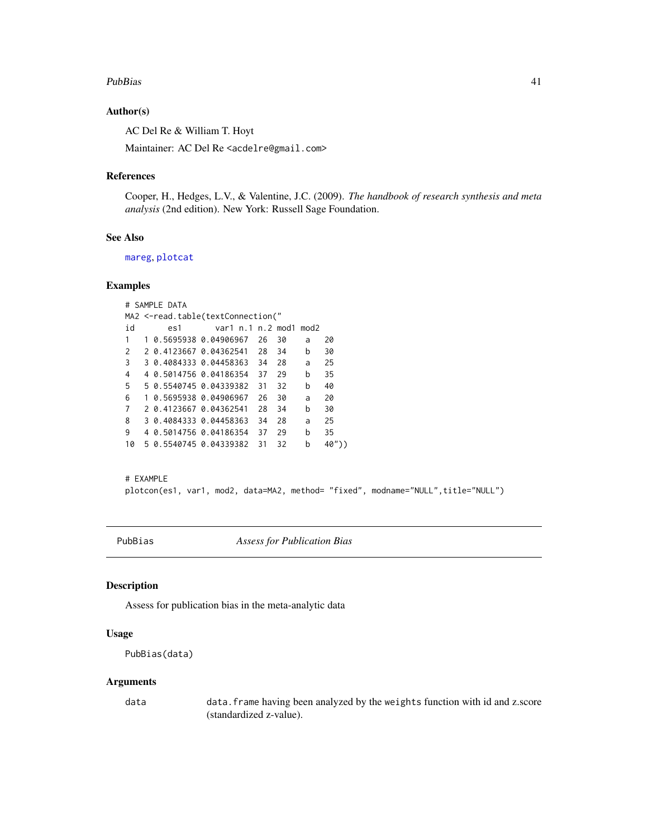#### <span id="page-40-0"></span>PubBias 41

#### Author(s)

AC Del Re & William T. Hoyt

Maintainer: AC Del Re <acdelre@gmail.com>

### References

Cooper, H., Hedges, L.V., & Valentine, J.C. (2009). *The handbook of research synthesis and meta analysis* (2nd edition). New York: Russell Sage Foundation.

#### See Also

[mareg](#page-31-1), [plotcat](#page-38-1)

# Examples

# SAMPLE DATA MA2 <-read.table(textConnection(" id es1 var1 n.1 n.2 mod1 mod2 1 1 0.5695938 0.04906967 26 30 a 20 2 2 0.4123667 0.04362541 28 34 b 30 3 3 0.4084333 0.04458363 34 28 a 25 4 4 0.5014756 0.04186354 37 29 b 35 5 5 0.5540745 0.04339382 31 32 b 40 6 1 0.5695938 0.04906967 26 30 a 20 7 2 0.4123667 0.04362541 28 34 b 30 8 3 0.4084333 0.04458363 34 28 a 25 9 4 0.5014756 0.04186354 37 29 b 35 10 5 0.5540745 0.04339382 31 32 b 40"))

```
# EXAMPLE
plotcon(es1, var1, mod2, data=MA2, method= "fixed", modname="NULL", title="NULL")
```
PubBias *Assess for Publication Bias*

#### Description

Assess for publication bias in the meta-analytic data

# Usage

```
PubBias(data)
```
#### **Arguments**

data data.frame having been analyzed by the weights function with id and z.score (standardized z-value).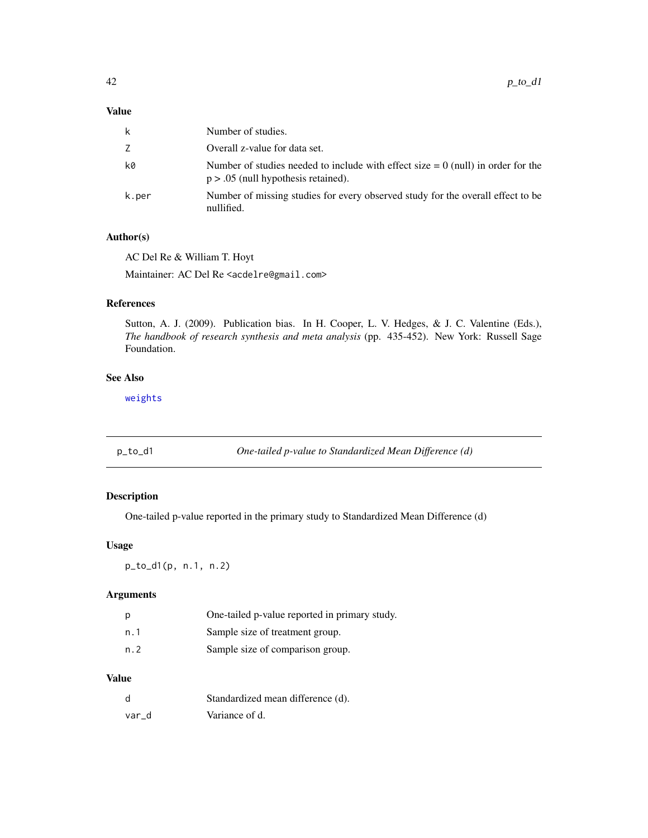# <span id="page-41-0"></span>Value

| k     | Number of studies.                                                                                                          |
|-------|-----------------------------------------------------------------------------------------------------------------------------|
| Z.    | Overall z-value for data set.                                                                                               |
| k0    | Number of studies needed to include with effect size $= 0$ (null) in order for the<br>$p > .05$ (null hypothesis retained). |
| k.per | Number of missing studies for every observed study for the overall effect to be<br>nullified.                               |

#### Author(s)

AC Del Re & William T. Hoyt

Maintainer: AC Del Re <acdelre@gmail.com>

# References

Sutton, A. J. (2009). Publication bias. In H. Cooper, L. V. Hedges, & J. C. Valentine (Eds.), *The handbook of research synthesis and meta analysis* (pp. 435-452). New York: Russell Sage Foundation.

# See Also

[weights](#page-0-0)

<span id="page-41-1"></span>p\_to\_d1 *One-tailed p-value to Standardized Mean Difference (d)*

# Description

One-tailed p-value reported in the primary study to Standardized Mean Difference (d)

# Usage

p\_to\_d1(p, n.1, n.2)

# Arguments

| p    | One-tailed p-value reported in primary study. |
|------|-----------------------------------------------|
| n. 1 | Sample size of treatment group.               |
| n. 2 | Sample size of comparison group.              |

# Value

| d     | Standardized mean difference (d). |
|-------|-----------------------------------|
| var d | Variance of d.                    |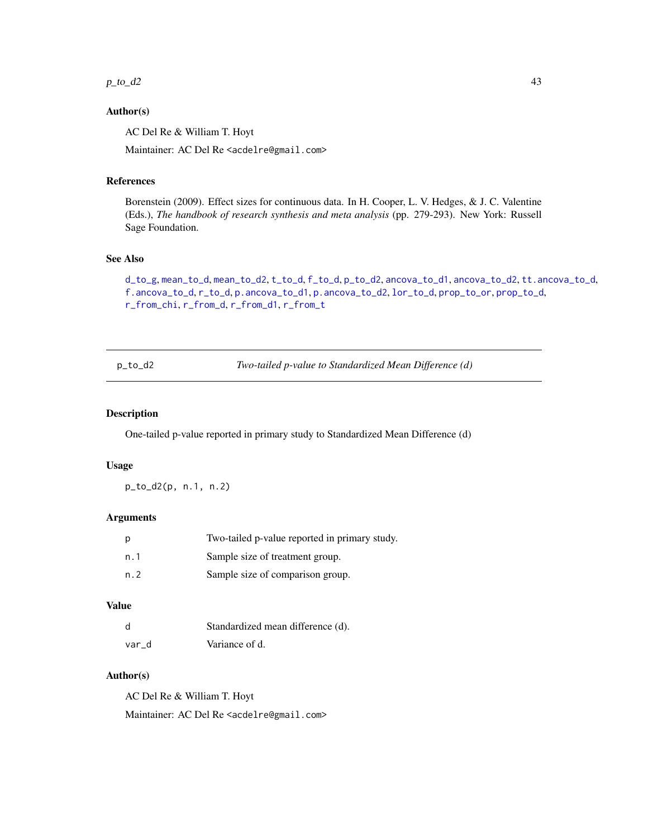#### <span id="page-42-0"></span> $p_to_d2$  43

## Author(s)

AC Del Re & William T. Hoyt

Maintainer: AC Del Re <acdelre@gmail.com>

#### References

Borenstein (2009). Effect sizes for continuous data. In H. Cooper, L. V. Hedges, & J. C. Valentine (Eds.), *The handbook of research synthesis and meta analysis* (pp. 279-293). New York: Russell Sage Foundation.

# See Also

```
d_to_g, mean_to_d, mean_to_d2, t_to_d, f_to_d, p_to_d2, ancova_to_d1, ancova_to_d2, tt.ancova_to_d,
f.ancova_to_d, r_to_d, p.ancova_to_d1, p.ancova_to_d2, lor_to_d, prop_to_or, prop_to_d,
r_from_chi, r_from_d, r_from_d1, r_from_t
```
<span id="page-42-1"></span>p\_to\_d2 *Two-tailed p-value to Standardized Mean Difference (d)*

#### Description

One-tailed p-value reported in primary study to Standardized Mean Difference (d)

#### Usage

p\_to\_d2(p, n.1, n.2)

# Arguments

| р   | Two-tailed p-value reported in primary study. |
|-----|-----------------------------------------------|
| n.1 | Sample size of treatment group.               |
| n.2 | Sample size of comparison group.              |

# Value

| d     | Standardized mean difference (d). |
|-------|-----------------------------------|
| var d | Variance of d.                    |

# Author(s)

AC Del Re & William T. Hoyt Maintainer: AC Del Re <acdelre@gmail.com>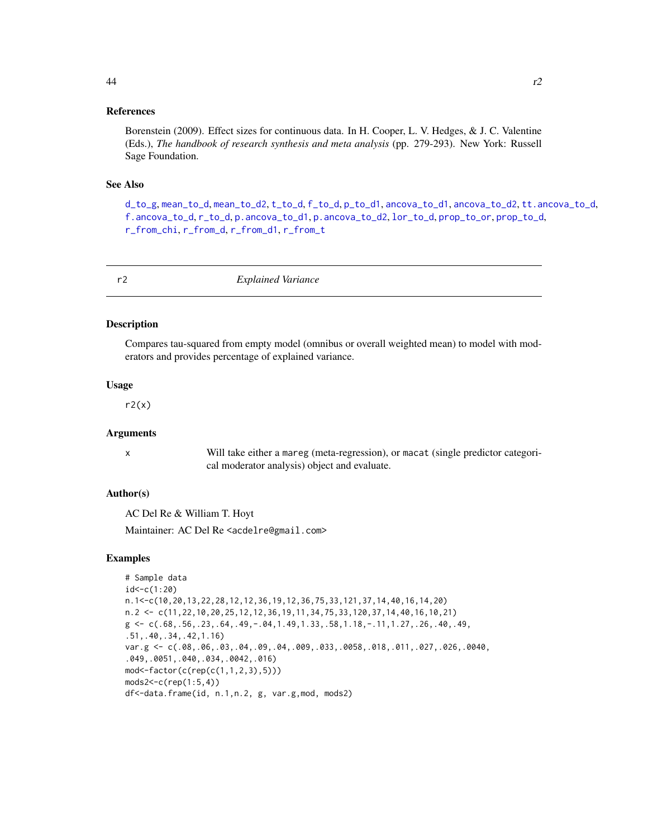#### <span id="page-43-0"></span>References

Borenstein (2009). Effect sizes for continuous data. In H. Cooper, L. V. Hedges, & J. C. Valentine (Eds.), *The handbook of research synthesis and meta analysis* (pp. 279-293). New York: Russell Sage Foundation.

#### See Also

[d\\_to\\_g](#page-19-1), [mean\\_to\\_d](#page-33-1), [mean\\_to\\_d2](#page-34-1), [t\\_to\\_d](#page-51-1), [f\\_to\\_d](#page-22-1), [p\\_to\\_d1](#page-41-1), [ancova\\_to\\_d1](#page-9-1), [ancova\\_to\\_d2](#page-10-1), [tt.ancova\\_to\\_d](#page-50-1), [f.ancova\\_to\\_d](#page-20-1), [r\\_to\\_d](#page-49-1), [p.ancova\\_to\\_d1](#page-36-1), [p.ancova\\_to\\_d2](#page-37-1), [lor\\_to\\_d](#page-26-1), [prop\\_to\\_or](#page-0-0), [prop\\_to\\_d](#page-0-0), [r\\_from\\_chi](#page-45-1), [r\\_from\\_d](#page-46-1), [r\\_from\\_d1](#page-47-1), [r\\_from\\_t](#page-48-1)

| Explained Variance<br>r <sub>2</sub> |
|--------------------------------------|
|--------------------------------------|

#### Description

Compares tau-squared from empty model (omnibus or overall weighted mean) to model with moderators and provides percentage of explained variance.

#### Usage

 $r2(x)$ 

#### Arguments

x Will take either a mareg (meta-regression), or macat (single predictor categorical moderator analysis) object and evaluate.

# Author(s)

AC Del Re & William T. Hoyt

Maintainer: AC Del Re <acdelre@gmail.com>

#### Examples

```
# Sample data
id < -c(1:20)n.1<-c(10,20,13,22,28,12,12,36,19,12,36,75,33,121,37,14,40,16,14,20)
n.2 <- c(11,22,10,20,25,12,12,36,19,11,34,75,33,120,37,14,40,16,10,21)
g \leftarrow c(.68,.56,.23,.64,.49,-.04,1.49,1.33,.58,1.18,-.11,1.27,.26,.40,.49,.51,.40,.34,.42,1.16)
var.g <- c(.08,.06,.03,.04,.09,.04,.009,.033,.0058,.018,.011,.027,.026,.0040,
.049,.0051,.040,.034,.0042,.016)
mod<-factor(c(rep(c(1,1,2,3),5)))
mods2<-c(rep(1:5,4))
df<-data.frame(id, n.1,n.2, g, var.g,mod, mods2)
```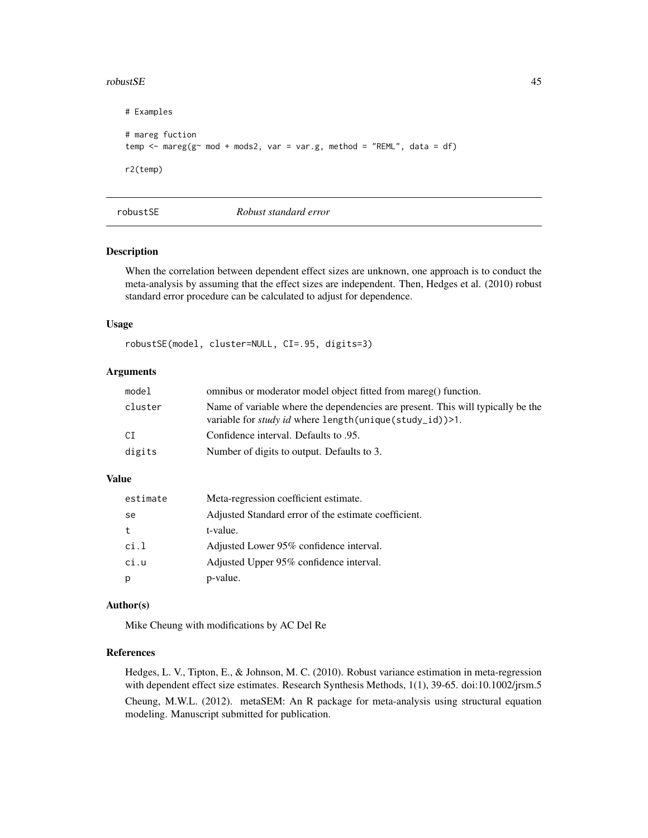#### <span id="page-44-0"></span> $r_{\rm{c}}$  and  $r_{\rm{d}}$  and  $r_{\rm{d}}$  and  $r_{\rm{d}}$  and  $r_{\rm{d}}$  and  $r_{\rm{d}}$  and  $r_{\rm{d}}$  and  $r_{\rm{d}}$  and  $r_{\rm{d}}$  and  $r_{\rm{d}}$  and  $r_{\rm{d}}$  and  $r_{\rm{d}}$  and  $r_{\rm{d}}$  and  $r_{\rm{d}}$  and  $r_{\rm{d}}$  and  $r_{\rm{d}}$  a

```
# Examples
# mareg fuction
temp \leq mareg(g\leq mod + mods2, var = var.g, method = "REML", data = df)
r2(temp)
```
### robustSE *Robust standard error*

# Description

When the correlation between dependent effect sizes are unknown, one approach is to conduct the meta-analysis by assuming that the effect sizes are independent. Then, Hedges et al. (2010) robust standard error procedure can be calculated to adjust for dependence.

#### Usage

robustSE(model, cluster=NULL, CI=.95, digits=3)

# Arguments

| model   | omnibus or moderator model object fitted from mareg() function.                                                                                   |
|---------|---------------------------------------------------------------------------------------------------------------------------------------------------|
| cluster | Name of variable where the dependencies are present. This will typically be the<br>variable for <i>study id</i> where length(unique(study_id))>1. |
| СI      | Confidence interval. Defaults to .95.                                                                                                             |
| digits  | Number of digits to output. Defaults to 3.                                                                                                        |

# Value

| estimate | Meta-regression coefficient estimate.                |
|----------|------------------------------------------------------|
| se       | Adjusted Standard error of the estimate coefficient. |
| t        | t-value.                                             |
| ci.1     | Adjusted Lower 95% confidence interval.              |
| ci.u     | Adjusted Upper 95% confidence interval.              |
| p        | p-value.                                             |

#### Author(s)

Mike Cheung with modifications by AC Del Re

# References

Hedges, L. V., Tipton, E., & Johnson, M. C. (2010). Robust variance estimation in meta-regression with dependent effect size estimates. Research Synthesis Methods, 1(1), 39-65. doi:10.1002/jrsm.5 Cheung, M.W.L. (2012). metaSEM: An R package for meta-analysis using structural equation modeling. Manuscript submitted for publication.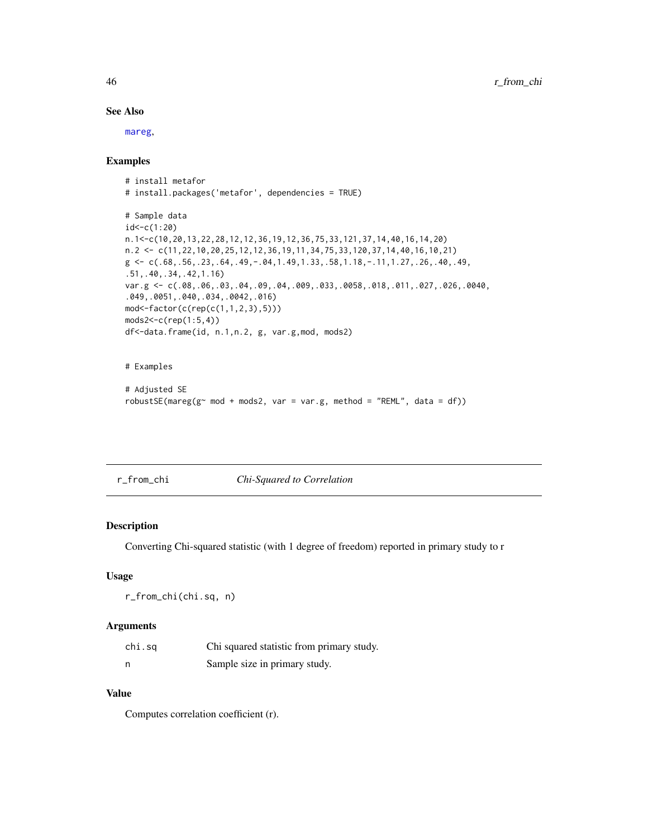# See Also

[mareg](#page-31-1),

# Examples

```
# install metafor
# install.packages('metafor', dependencies = TRUE)
# Sample data
id<-c(1:20)
n.1<-c(10,20,13,22,28,12,12,36,19,12,36,75,33,121,37,14,40,16,14,20)
n.2 <- c(11,22,10,20,25,12,12,36,19,11,34,75,33,120,37,14,40,16,10,21)
g \leftarrow c(.68, .56, .23, .64, .49, -.04, 1.49, 1.33, .58, 1.18, -.11, 1.27, .26, .40, .49,.51,.40,.34,.42,1.16)
var.g <- c(.08,.06,.03,.04,.09,.04,.009,.033,.0058,.018,.011,.027,.026,.0040,
.049,.0051,.040,.034,.0042,.016)
mod<-factor(c(rep(c(1,1,2,3),5)))
mods2<-c(rep(1:5,4))
df<-data.frame(id, n.1,n.2, g, var.g,mod, mods2)
```
# # Examples

```
# Adjusted SE
robustSE(maxeg(g~mod + modes2, var = var.g, method = "REM", data = df))
```
# <span id="page-45-1"></span>r\_from\_chi *Chi-Squared to Correlation*

# Description

Converting Chi-squared statistic (with 1 degree of freedom) reported in primary study to r

# Usage

r\_from\_chi(chi.sq, n)

#### Arguments

| chi.sq | Chi squared statistic from primary study. |
|--------|-------------------------------------------|
|        | Sample size in primary study.             |

# Value

Computes correlation coefficient (r).

<span id="page-45-0"></span>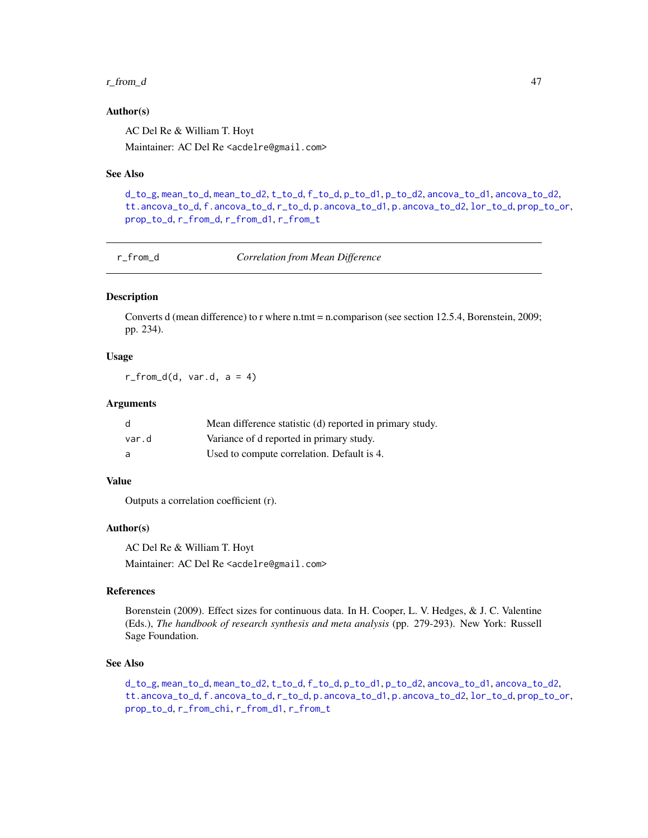#### <span id="page-46-0"></span> $r_f$  from  $d$  47

#### Author(s)

AC Del Re & William T. Hoyt Maintainer: AC Del Re <acdelre@gmail.com>

# See Also

```
d_to_g, mean_to_d, mean_to_d2, t_to_d, f_to_d, p_to_d1, p_to_d2, ancova_to_d1, ancova_to_d2,
tt.ancova_to_d, f.ancova_to_d, r_to_d, p.ancova_to_d1, p.ancova_to_d2, lor_to_d, prop_to_or,
prop_to_d, r_from_d, r_from_d1, r_from_t
```
<span id="page-46-1"></span>

r\_from\_d *Correlation from Mean Difference*

# Description

Converts d (mean difference) to r where n.tmt = n.comparison (see section 12.5.4, Borenstein, 2009; pp. 234).

#### Usage

 $r_f$ from\_d(d, var.d, a = 4)

#### Arguments

| d     | Mean difference statistic (d) reported in primary study. |
|-------|----------------------------------------------------------|
| var.d | Variance of d reported in primary study.                 |
| a     | Used to compute correlation. Default is 4.               |

# Value

Outputs a correlation coefficient (r).

#### Author(s)

AC Del Re & William T. Hoyt Maintainer: AC Del Re <acdelre@gmail.com>

# References

Borenstein (2009). Effect sizes for continuous data. In H. Cooper, L. V. Hedges, & J. C. Valentine (Eds.), *The handbook of research synthesis and meta analysis* (pp. 279-293). New York: Russell Sage Foundation.

# See Also

[d\\_to\\_g](#page-19-1), [mean\\_to\\_d](#page-33-1), [mean\\_to\\_d2](#page-34-1), [t\\_to\\_d](#page-51-1), [f\\_to\\_d](#page-22-1), [p\\_to\\_d1](#page-41-1), [p\\_to\\_d2](#page-42-1), [ancova\\_to\\_d1](#page-9-1), [ancova\\_to\\_d2](#page-10-1), [tt.ancova\\_to\\_d](#page-50-1), [f.ancova\\_to\\_d](#page-20-1), [r\\_to\\_d](#page-49-1), [p.ancova\\_to\\_d1](#page-36-1), [p.ancova\\_to\\_d2](#page-37-1), [lor\\_to\\_d](#page-26-1), [prop\\_to\\_or](#page-0-0), [prop\\_to\\_d](#page-0-0), [r\\_from\\_chi](#page-45-1), [r\\_from\\_d1](#page-47-1), [r\\_from\\_t](#page-48-1)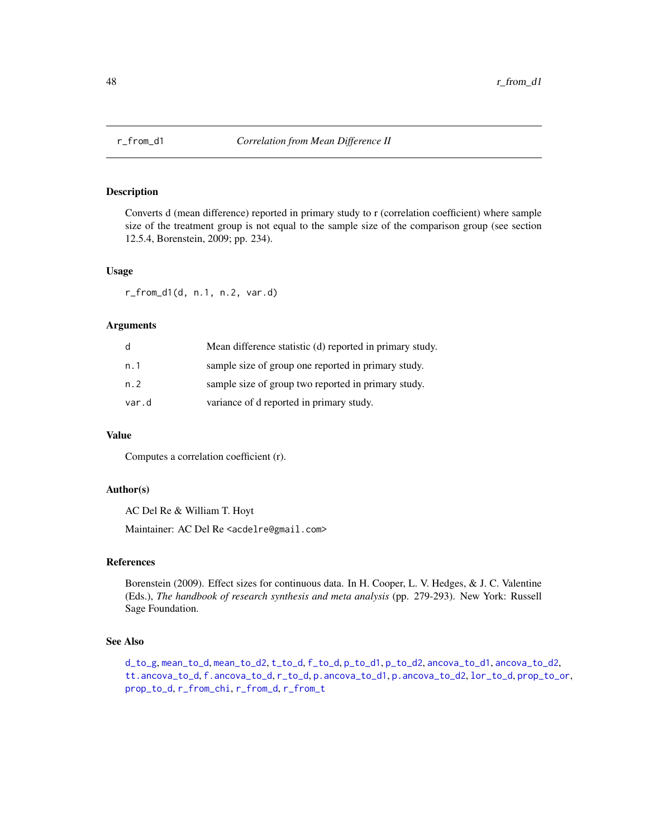<span id="page-47-1"></span><span id="page-47-0"></span>

Converts d (mean difference) reported in primary study to r (correlation coefficient) where sample size of the treatment group is not equal to the sample size of the comparison group (see section 12.5.4, Borenstein, 2009; pp. 234).

#### Usage

r\_from\_d1(d, n.1, n.2, var.d)

# Arguments

| d     | Mean difference statistic (d) reported in primary study. |
|-------|----------------------------------------------------------|
| n. 1  | sample size of group one reported in primary study.      |
| n.2   | sample size of group two reported in primary study.      |
| var.d | variance of d reported in primary study.                 |

### Value

Computes a correlation coefficient (r).

# Author(s)

AC Del Re & William T. Hoyt

Maintainer: AC Del Re <acdelre@gmail.com>

#### References

Borenstein (2009). Effect sizes for continuous data. In H. Cooper, L. V. Hedges, & J. C. Valentine (Eds.), *The handbook of research synthesis and meta analysis* (pp. 279-293). New York: Russell Sage Foundation.

#### See Also

[d\\_to\\_g](#page-19-1), [mean\\_to\\_d](#page-33-1), [mean\\_to\\_d2](#page-34-1), [t\\_to\\_d](#page-51-1), [f\\_to\\_d](#page-22-1), [p\\_to\\_d1](#page-41-1), [p\\_to\\_d2](#page-42-1), [ancova\\_to\\_d1](#page-9-1), [ancova\\_to\\_d2](#page-10-1), [tt.ancova\\_to\\_d](#page-50-1), [f.ancova\\_to\\_d](#page-20-1), [r\\_to\\_d](#page-49-1), [p.ancova\\_to\\_d1](#page-36-1), [p.ancova\\_to\\_d2](#page-37-1), [lor\\_to\\_d](#page-26-1), [prop\\_to\\_or](#page-0-0), [prop\\_to\\_d](#page-0-0), [r\\_from\\_chi](#page-45-1), [r\\_from\\_d](#page-46-1), [r\\_from\\_t](#page-48-1)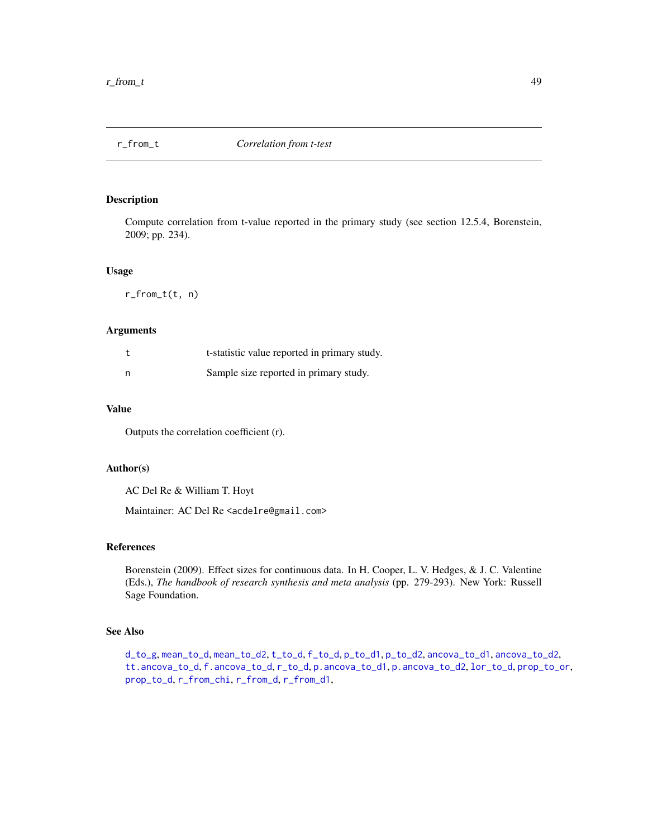<span id="page-48-1"></span><span id="page-48-0"></span>

Compute correlation from t-value reported in the primary study (see section 12.5.4, Borenstein, 2009; pp. 234).

#### Usage

r\_from\_t(t, n)

# Arguments

|   | t-statistic value reported in primary study. |
|---|----------------------------------------------|
| n | Sample size reported in primary study.       |

# Value

Outputs the correlation coefficient (r).

#### Author(s)

AC Del Re & William T. Hoyt

Maintainer: AC Del Re <acdelre@gmail.com>

#### References

Borenstein (2009). Effect sizes for continuous data. In H. Cooper, L. V. Hedges, & J. C. Valentine (Eds.), *The handbook of research synthesis and meta analysis* (pp. 279-293). New York: Russell Sage Foundation.

#### See Also

[d\\_to\\_g](#page-19-1), [mean\\_to\\_d](#page-33-1), [mean\\_to\\_d2](#page-34-1), [t\\_to\\_d](#page-51-1), [f\\_to\\_d](#page-22-1), [p\\_to\\_d1](#page-41-1), [p\\_to\\_d2](#page-42-1), [ancova\\_to\\_d1](#page-9-1), [ancova\\_to\\_d2](#page-10-1), [tt.ancova\\_to\\_d](#page-50-1), [f.ancova\\_to\\_d](#page-20-1), [r\\_to\\_d](#page-49-1), [p.ancova\\_to\\_d1](#page-36-1), [p.ancova\\_to\\_d2](#page-37-1), [lor\\_to\\_d](#page-26-1), [prop\\_to\\_or](#page-0-0), [prop\\_to\\_d](#page-0-0), [r\\_from\\_chi](#page-45-1), [r\\_from\\_d](#page-46-1), [r\\_from\\_d1](#page-47-1),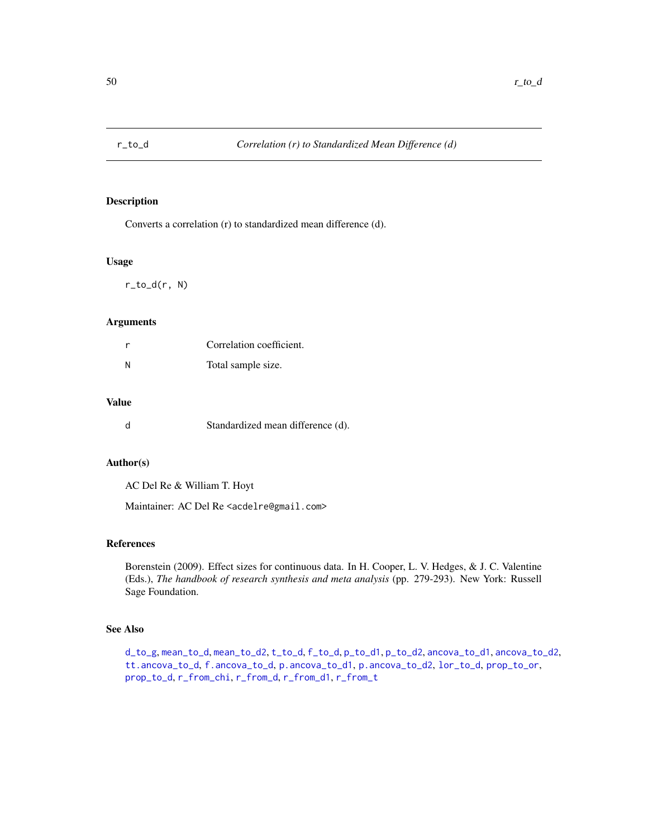<span id="page-49-1"></span><span id="page-49-0"></span>

Converts a correlation (r) to standardized mean difference (d).

#### Usage

r\_to\_d(r, N)

#### Arguments

|   | Correlation coefficient. |
|---|--------------------------|
| N | Total sample size.       |

# Value

|  | Standardized mean difference (d). |  |  |
|--|-----------------------------------|--|--|
|--|-----------------------------------|--|--|

#### Author(s)

AC Del Re & William T. Hoyt

Maintainer: AC Del Re <acdelre@gmail.com>

# References

Borenstein (2009). Effect sizes for continuous data. In H. Cooper, L. V. Hedges, & J. C. Valentine (Eds.), *The handbook of research synthesis and meta analysis* (pp. 279-293). New York: Russell Sage Foundation.

# See Also

[d\\_to\\_g](#page-19-1), [mean\\_to\\_d](#page-33-1), [mean\\_to\\_d2](#page-34-1), [t\\_to\\_d](#page-51-1), [f\\_to\\_d](#page-22-1), [p\\_to\\_d1](#page-41-1), [p\\_to\\_d2](#page-42-1), [ancova\\_to\\_d1](#page-9-1), [ancova\\_to\\_d2](#page-10-1), [tt.ancova\\_to\\_d](#page-50-1), [f.ancova\\_to\\_d](#page-20-1), [p.ancova\\_to\\_d1](#page-36-1), [p.ancova\\_to\\_d2](#page-37-1), [lor\\_to\\_d](#page-26-1), [prop\\_to\\_or](#page-0-0), [prop\\_to\\_d](#page-0-0), [r\\_from\\_chi](#page-45-1), [r\\_from\\_d](#page-46-1), [r\\_from\\_d1](#page-47-1), [r\\_from\\_t](#page-48-1)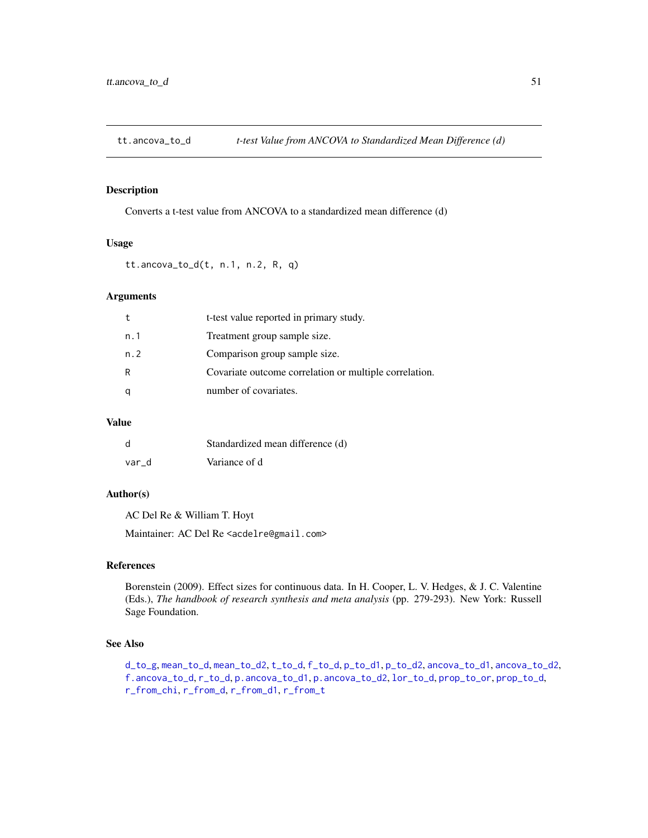<span id="page-50-1"></span><span id="page-50-0"></span>

Converts a t-test value from ANCOVA to a standardized mean difference (d)

# Usage

tt.ancova\_to\_d(t, n.1, n.2, R, q)

# Arguments

|     | t-test value reported in primary study.                |
|-----|--------------------------------------------------------|
| n.1 | Treatment group sample size.                           |
| n.2 | Comparison group sample size.                          |
| R   | Covariate outcome correlation or multiple correlation. |
|     | number of covariates.                                  |

# Value

| d     | Standardized mean difference (d) |
|-------|----------------------------------|
| var d | Variance of d                    |

# Author(s)

AC Del Re & William T. Hoyt

Maintainer: AC Del Re <acdelre@gmail.com>

# References

Borenstein (2009). Effect sizes for continuous data. In H. Cooper, L. V. Hedges, & J. C. Valentine (Eds.), *The handbook of research synthesis and meta analysis* (pp. 279-293). New York: Russell Sage Foundation.

# See Also

[d\\_to\\_g](#page-19-1), [mean\\_to\\_d](#page-33-1), [mean\\_to\\_d2](#page-34-1), [t\\_to\\_d](#page-51-1), [f\\_to\\_d](#page-22-1), [p\\_to\\_d1](#page-41-1), [p\\_to\\_d2](#page-42-1), [ancova\\_to\\_d1](#page-9-1), [ancova\\_to\\_d2](#page-10-1), [f.ancova\\_to\\_d](#page-20-1), [r\\_to\\_d](#page-49-1), [p.ancova\\_to\\_d1](#page-36-1), [p.ancova\\_to\\_d2](#page-37-1), [lor\\_to\\_d](#page-26-1), [prop\\_to\\_or](#page-0-0), [prop\\_to\\_d](#page-0-0), [r\\_from\\_chi](#page-45-1), [r\\_from\\_d](#page-46-1), [r\\_from\\_d1](#page-47-1), [r\\_from\\_t](#page-48-1)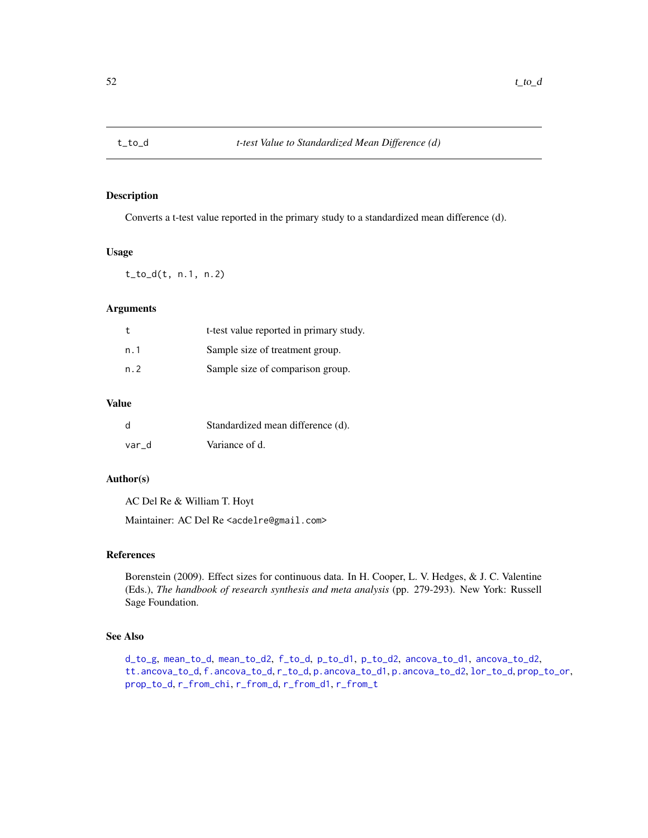<span id="page-51-1"></span><span id="page-51-0"></span>

Converts a t-test value reported in the primary study to a standardized mean difference (d).

### Usage

t\_to\_d(t, n.1, n.2)

# Arguments

| t    | t-test value reported in primary study. |
|------|-----------------------------------------|
| n. 1 | Sample size of treatment group.         |
| n. 2 | Sample size of comparison group.        |

# Value

| d     | Standardized mean difference (d). |
|-------|-----------------------------------|
| var d | Variance of d.                    |

# Author(s)

AC Del Re & William T. Hoyt

Maintainer: AC Del Re <acdelre@gmail.com>

# References

Borenstein (2009). Effect sizes for continuous data. In H. Cooper, L. V. Hedges, & J. C. Valentine (Eds.), *The handbook of research synthesis and meta analysis* (pp. 279-293). New York: Russell Sage Foundation.

#### See Also

[d\\_to\\_g](#page-19-1), [mean\\_to\\_d](#page-33-1), [mean\\_to\\_d2](#page-34-1), [f\\_to\\_d](#page-22-1), [p\\_to\\_d1](#page-41-1), [p\\_to\\_d2](#page-42-1), [ancova\\_to\\_d1](#page-9-1), [ancova\\_to\\_d2](#page-10-1), [tt.ancova\\_to\\_d](#page-50-1), [f.ancova\\_to\\_d](#page-20-1), [r\\_to\\_d](#page-49-1), [p.ancova\\_to\\_d1](#page-36-1), [p.ancova\\_to\\_d2](#page-37-1), [lor\\_to\\_d](#page-26-1), [prop\\_to\\_or](#page-0-0), [prop\\_to\\_d](#page-0-0), [r\\_from\\_chi](#page-45-1), [r\\_from\\_d](#page-46-1), [r\\_from\\_d1](#page-47-1), [r\\_from\\_t](#page-48-1)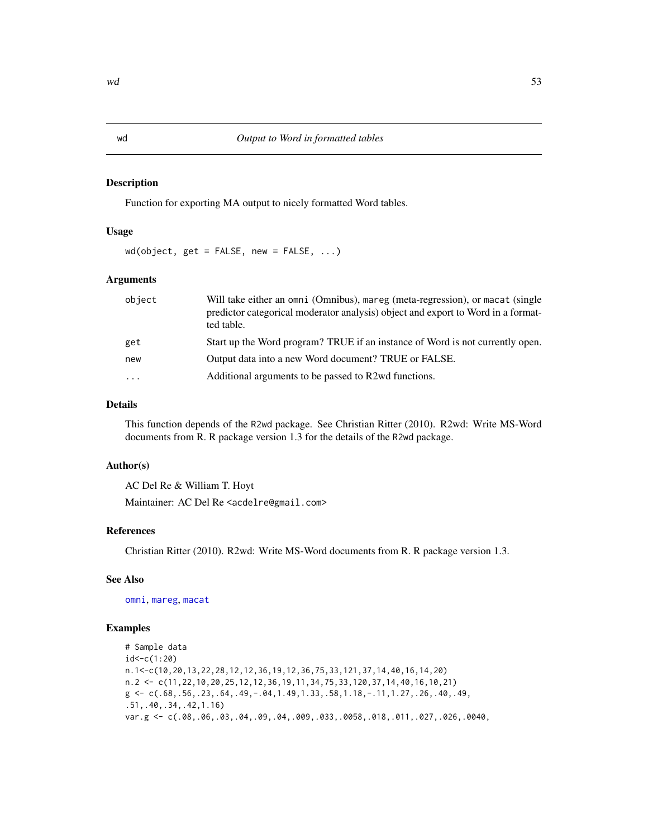<span id="page-52-1"></span><span id="page-52-0"></span>Function for exporting MA output to nicely formatted Word tables.

#### Usage

wd(object, get = FALSE, new = FALSE, ...)

# Arguments

| object              | Will take either an omni (Omnibus), mareg (meta-regression), or macat (single<br>predictor categorical moderator analysis) object and export to Word in a format-<br>ted table. |
|---------------------|---------------------------------------------------------------------------------------------------------------------------------------------------------------------------------|
| get                 | Start up the Word program? TRUE if an instance of Word is not currently open.                                                                                                   |
| new                 | Output data into a new Word document? TRUE or FALSE.                                                                                                                            |
| $\cdot \cdot \cdot$ | Additional arguments to be passed to R2wd functions.                                                                                                                            |

#### Details

This function depends of the R2wd package. See Christian Ritter (2010). R2wd: Write MS-Word documents from R. R package version 1.3 for the details of the R2wd package.

#### Author(s)

AC Del Re & William T. Hoyt Maintainer: AC Del Re <acdelre@gmail.com>

# References

Christian Ritter (2010). R2wd: Write MS-Word documents from R. R package version 1.3.

# See Also

[omni](#page-0-0), [mareg](#page-31-1), [macat](#page-27-1)

#### Examples

```
# Sample data
id<-c(1:20)
n.1<-c(10,20,13,22,28,12,12,36,19,12,36,75,33,121,37,14,40,16,14,20)
n.2 <- c(11,22,10,20,25,12,12,36,19,11,34,75,33,120,37,14,40,16,10,21)
g \leftarrow c(.68,.56,.23,.64,.49,-.04,1.49,1.33,.58,1.18,-.11,1.27,.26,.40,.49,.51,.40,.34,.42,1.16)
var.g <- c(.08,.06,.03,.04,.09,.04,.009,.033,.0058,.018,.011,.027,.026,.0040,
```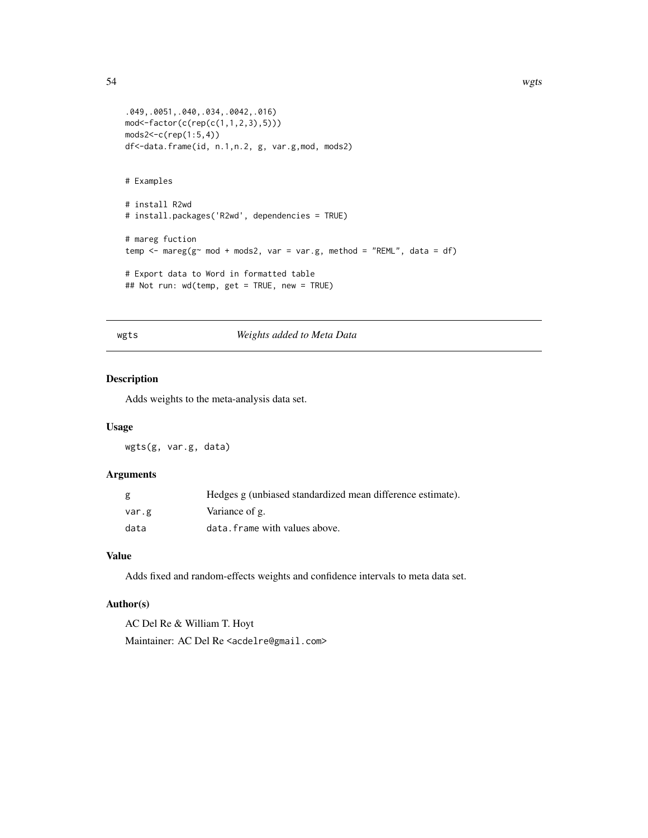```
.049,.0051,.040,.034,.0042,.016)
mod<-factor(c(rep(c(1,1,2,3),5)))
mods2<-c(rep(1:5,4))
df<-data.frame(id, n.1,n.2, g, var.g,mod, mods2)
# Examples
# install R2wd
# install.packages('R2wd', dependencies = TRUE)
# mareg fuction
temp \leq mareg(g\leq mod + mods2, var = var.g, method = "REML", data = df)
# Export data to Word in formatted table
## Not run: wd(temp, get = TRUE, new = TRUE)
```
#### wgts *Weights added to Meta Data*

#### Description

Adds weights to the meta-analysis data set.

#### Usage

wgts(g, var.g, data)

#### Arguments

| g     | Hedges g (unbiased standardized mean difference estimate). |
|-------|------------------------------------------------------------|
| var.g | Variance of g.                                             |
| data  | data. frame with values above.                             |

#### Value

Adds fixed and random-effects weights and confidence intervals to meta data set.

# Author(s)

AC Del Re & William T. Hoyt Maintainer: AC Del Re <acdelre@gmail.com>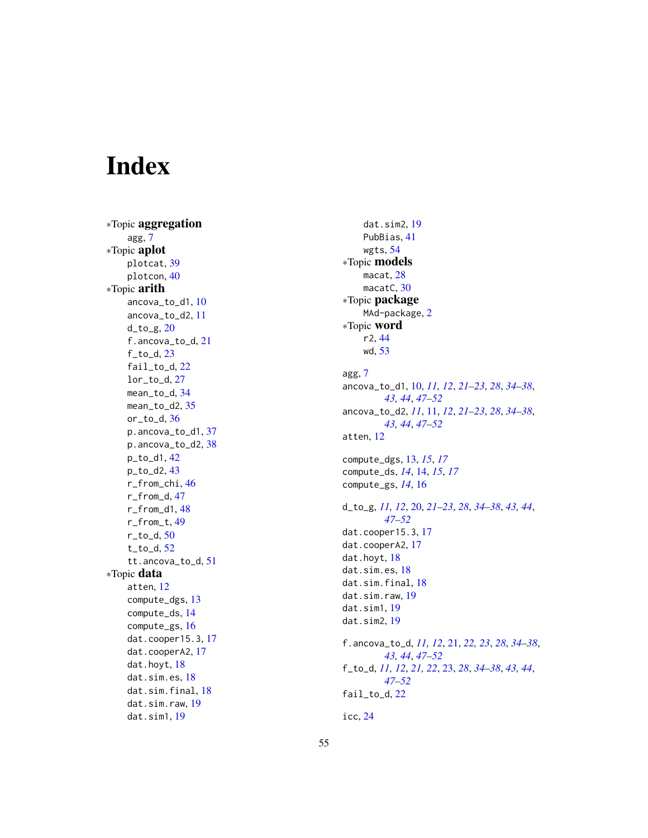# <span id="page-54-0"></span>Index

∗Topic aggregation agg , [7](#page-6-0) ∗Topic aplot plotcat , [39](#page-38-0) plotcon , [40](#page-39-0) ∗Topic arith ancova\_to\_d1 , [10](#page-9-0) ancova\_to\_d2 , [11](#page-10-0) d\_to\_g , [20](#page-19-0) f.ancova\_to\_d, [21](#page-20-0) f\_to\_d , [23](#page-22-0) fail\_to\_d , [22](#page-21-0) lor\_to\_d , [27](#page-26-0) mean\_to\_d , [34](#page-33-0) mean\_to\_d2,[35](#page-34-0) or\_to\_d , [36](#page-35-0) p.ancova\_to\_d1,[37](#page-36-0) p.ancova\_to\_d2,[38](#page-37-0) p\_to\_d1 , [42](#page-41-0) p\_to\_d2 , [43](#page-42-0) r\_from\_chi , [46](#page-45-0) r\_from\_d , [47](#page-46-0) r\_from\_d1 , [48](#page-47-0) r\_from\_t , [49](#page-48-0) r\_to\_d , [50](#page-49-0) t\_to\_d , [52](#page-51-0) tt.ancova\_to\_d , [51](#page-50-0) ∗Topic data atten , [12](#page-11-0) compute\_dgs , [13](#page-12-0) compute\_ds , [14](#page-13-0) compute\_gs , [16](#page-15-0) dat.cooper15.3 , [17](#page-16-0) dat.cooperA2, [17](#page-16-0) dat.hoyt, [18](#page-17-0) dat.sim.es, [18](#page-17-0) dat.sim.final , [18](#page-17-0) dat.sim.raw, [19](#page-18-0) dat.sim1 , [19](#page-18-0)

dat.sim2 , [19](#page-18-0) PubBias , [41](#page-40-0) wgts , [54](#page-53-0) ∗Topic models macat, 2<mark>8</mark> macatC, [30](#page-29-0) ∗Topic package MAd-package, [2](#page-1-0) ∗Topic word r2 , [44](#page-43-0) wd , [53](#page-52-0) agg , [7](#page-6-0) ancova\_to\_d1 , [10](#page-9-0) , *[11](#page-10-0) , [12](#page-11-0)* , *[21](#page-20-0) [–23](#page-22-0)* , *[28](#page-27-0)* , *[34](#page-33-0) [–38](#page-37-0)* , *[43](#page-42-0) , [44](#page-43-0)* , *[47](#page-46-0)[–52](#page-51-0)* ancova\_to\_d2 , *[11](#page-10-0)* , [11](#page-10-0) , *[12](#page-11-0)* , *[21](#page-20-0) [–23](#page-22-0)* , *[28](#page-27-0)* , *[34](#page-33-0) [–38](#page-37-0)* , *[43](#page-42-0) , [44](#page-43-0)* , *[47](#page-46-0)[–52](#page-51-0)* atten , [12](#page-11-0) compute\_dgs , [13](#page-12-0) , *[15](#page-14-0)* , *[17](#page-16-0)* compute\_ds , *[14](#page-13-0)* , [14](#page-13-0) , *[15](#page-14-0)* , *[17](#page-16-0)* compute\_gs , *[14](#page-13-0)* , [16](#page-15-0) d\_to\_g , *[11](#page-10-0) , [12](#page-11-0)* , [20](#page-19-0) , *[21](#page-20-0) [–23](#page-22-0)* , *[28](#page-27-0)* , *[34](#page-33-0) [–38](#page-37-0)* , *[43](#page-42-0) , [44](#page-43-0)* , *[47](#page-46-0)[–52](#page-51-0)* dat.cooper15.3 , [17](#page-16-0) dat.cooperA2, [17](#page-16-0) dat.hoyt, [18](#page-17-0) dat.sim.es,1<mark>8</mark> dat.sim.final, [18](#page-17-0) dat.sim.raw, [19](#page-18-0) dat.sim1 , [19](#page-18-0) dat.sim2 , [19](#page-18-0) f.ancova\_to\_d , *[11](#page-10-0) , [12](#page-11-0)* , [21](#page-20-0) , *[22](#page-21-0) , [23](#page-22-0)* , *[28](#page-27-0)* , *[34](#page-33-0) [–38](#page-37-0)* , *[43](#page-42-0) , [44](#page-43-0)* , *[47](#page-46-0)[–52](#page-51-0)* f\_to\_d , *[11](#page-10-0) , [12](#page-11-0)* , *[21](#page-20-0) , [22](#page-21-0)* , [23](#page-22-0) , *[28](#page-27-0)* , *[34](#page-33-0) [–38](#page-37-0)* , *[43](#page-42-0) , [44](#page-43-0)* , *[47](#page-46-0)[–52](#page-51-0)* fail\_to\_d , [22](#page-21-0) icc , [24](#page-23-0)